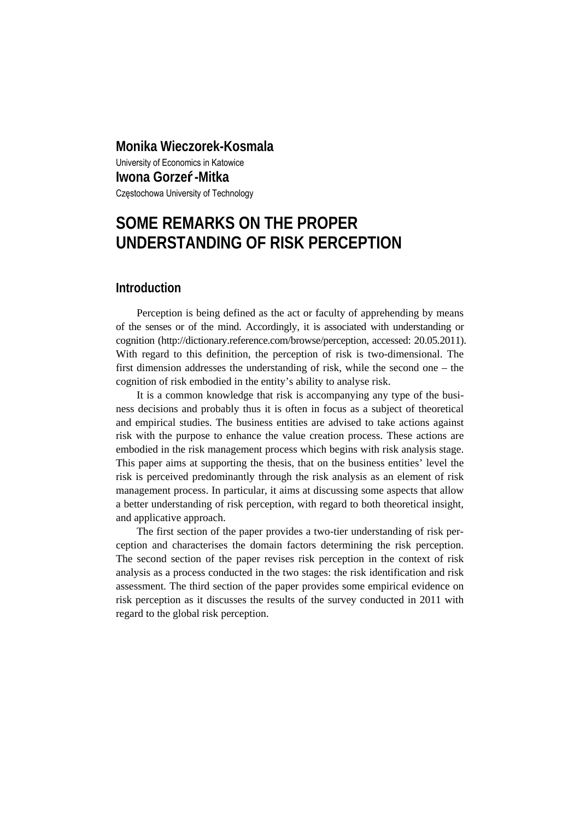# **Monika Wieczorek-Kosmala**  University of Economics in Katowice **Iwona Gorze -Mitka**  Częstochowa University of Technology

# **SOME REMARKS ON THE PROPER UNDERSTANDING OF RISK PERCEPTION**

## **Introduction**

Perception is being defined as the act or faculty of apprehending by means of the senses or of the mind. Accordingly, it is associated with understanding or cognition (http://dictionary.reference.com/browse/perception, accessed: 20.05.2011). With regard to this definition, the perception of risk is two-dimensional. The first dimension addresses the understanding of risk, while the second one – the cognition of risk embodied in the entity's ability to analyse risk.

It is a common knowledge that risk is accompanying any type of the business decisions and probably thus it is often in focus as a subject of theoretical and empirical studies. The business entities are advised to take actions against risk with the purpose to enhance the value creation process. These actions are embodied in the risk management process which begins with risk analysis stage. This paper aims at supporting the thesis, that on the business entities' level the risk is perceived predominantly through the risk analysis as an element of risk management process. In particular, it aims at discussing some aspects that allow a better understanding of risk perception, with regard to both theoretical insight, and applicative approach.

The first section of the paper provides a two-tier understanding of risk perception and characterises the domain factors determining the risk perception. The second section of the paper revises risk perception in the context of risk analysis as a process conducted in the two stages: the risk identification and risk assessment. The third section of the paper provides some empirical evidence on risk perception as it discusses the results of the survey conducted in 2011 with regard to the global risk perception.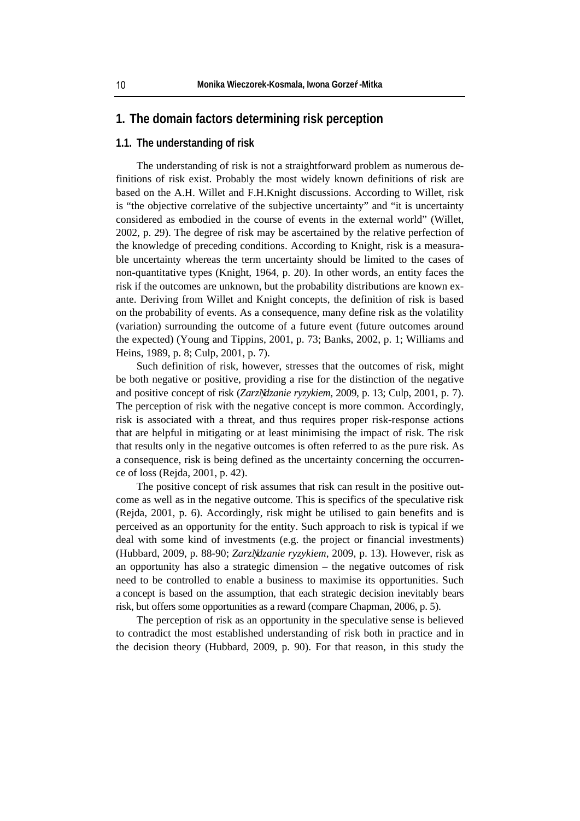#### **1. The domain factors determining risk perception**

#### **1.1. The understanding of risk**

The understanding of risk is not a straightforward problem as numerous definitions of risk exist. Probably the most widely known definitions of risk are based on the A.H. Willet and F.H.Knight discussions. According to Willet, risk is "the objective correlative of the subjective uncertainty" and "it is uncertainty considered as embodied in the course of events in the external world" (Willet, 2002, p. 29). The degree of risk may be ascertained by the relative perfection of the knowledge of preceding conditions. According to Knight, risk is a measurable uncertainty whereas the term uncertainty should be limited to the cases of non-quantitative types (Knight, 1964, p. 20). In other words, an entity faces the risk if the outcomes are unknown, but the probability distributions are known exante. Deriving from Willet and Knight concepts, the definition of risk is based on the probability of events. As a consequence, many define risk as the volatility (variation) surrounding the outcome of a future event (future outcomes around the expected) (Young and Tippins, 2001, p. 73; Banks, 2002, p. 1; Williams and Heins, 1989, p. 8; Culp, 2001, p. 7).

Such definition of risk, however, stresses that the outcomes of risk, might be both negative or positive, providing a rise for the distinction of the negative and positive concept of risk (*Zarz dzanie ryzykiem,* 2009, p. 13; Culp, 2001, p. 7). The perception of risk with the negative concept is more common. Accordingly, risk is associated with a threat, and thus requires proper risk-response actions that are helpful in mitigating or at least minimising the impact of risk. The risk that results only in the negative outcomes is often referred to as the pure risk. As a consequence, risk is being defined as the uncertainty concerning the occurrence of loss (Rejda, 2001, p. 42).

The positive concept of risk assumes that risk can result in the positive outcome as well as in the negative outcome. This is specifics of the speculative risk (Rejda, 2001, p. 6). Accordingly, risk might be utilised to gain benefits and is perceived as an opportunity for the entity. Such approach to risk is typical if we deal with some kind of investments (e.g. the project or financial investments) (Hubbard, 2009, p. 88-90; *Zarz dzanie ryzykiem*, 2009, p. 13). However, risk as an opportunity has also a strategic dimension – the negative outcomes of risk need to be controlled to enable a business to maximise its opportunities. Such a concept is based on the assumption, that each strategic decision inevitably bears risk, but offers some opportunities as a reward (compare Chapman, 2006, p. 5).

The perception of risk as an opportunity in the speculative sense is believed to contradict the most established understanding of risk both in practice and in the decision theory (Hubbard, 2009, p. 90). For that reason, in this study the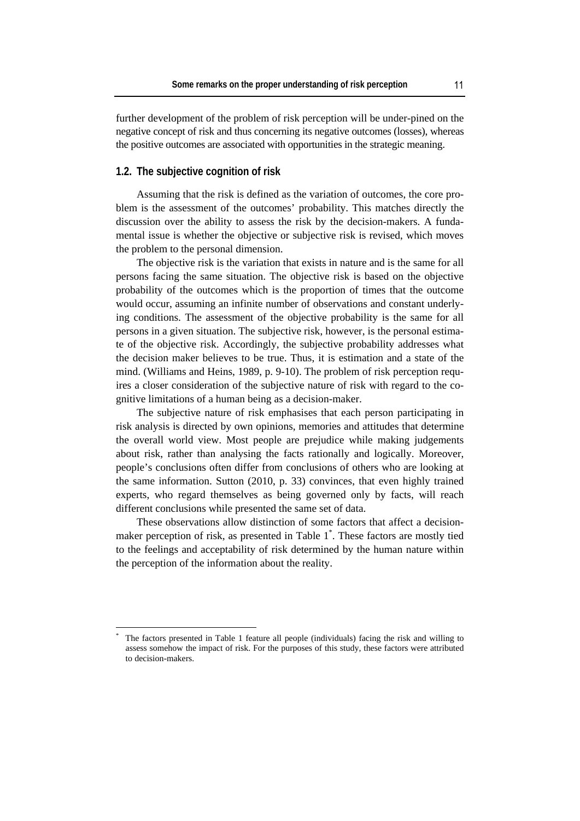further development of the problem of risk perception will be under-pined on the negative concept of risk and thus concerning its negative outcomes (losses), whereas the positive outcomes are associated with opportunities in the strategic meaning.

#### **1.2. The subjective cognition of risk**

 $\overline{a}$ 

Assuming that the risk is defined as the variation of outcomes, the core problem is the assessment of the outcomes' probability. This matches directly the discussion over the ability to assess the risk by the decision-makers. A fundamental issue is whether the objective or subjective risk is revised, which moves the problem to the personal dimension.

The objective risk is the variation that exists in nature and is the same for all persons facing the same situation. The objective risk is based on the objective probability of the outcomes which is the proportion of times that the outcome would occur, assuming an infinite number of observations and constant underlying conditions. The assessment of the objective probability is the same for all persons in a given situation. The subjective risk, however, is the personal estimate of the objective risk. Accordingly, the subjective probability addresses what the decision maker believes to be true. Thus, it is estimation and a state of the mind. (Williams and Heins, 1989, p. 9-10). The problem of risk perception requires a closer consideration of the subjective nature of risk with regard to the cognitive limitations of a human being as a decision-maker.

The subjective nature of risk emphasises that each person participating in risk analysis is directed by own opinions, memories and attitudes that determine the overall world view. Most people are prejudice while making judgements about risk, rather than analysing the facts rationally and logically. Moreover, people's conclusions often differ from conclusions of others who are looking at the same information. Sutton (2010, p. 33) convinces, that even highly trained experts, who regard themselves as being governed only by facts, will reach different conclusions while presented the same set of data.

These observations allow distinction of some factors that affect a decisionmaker perception of risk, as presented in Table 1\* . These factors are mostly tied to the feelings and acceptability of risk determined by the human nature within the perception of the information about the reality.

<sup>\*</sup> The factors presented in Table 1 feature all people (individuals) facing the risk and willing to assess somehow the impact of risk. For the purposes of this study, these factors were attributed to decision-makers.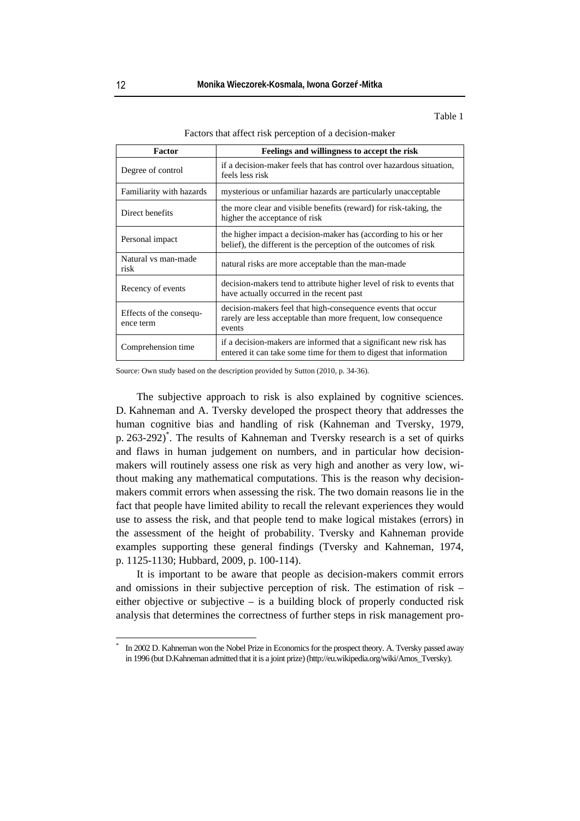Table 1

Factors that affect risk perception of a decision-maker

| Factor                               | Feelings and willingness to accept the risk                                                                                              |  |
|--------------------------------------|------------------------------------------------------------------------------------------------------------------------------------------|--|
| Degree of control                    | if a decision-maker feels that has control over hazardous situation,<br>feels less risk                                                  |  |
| Familiarity with hazards             | mysterious or unfamiliar hazards are particularly unacceptable                                                                           |  |
| Direct benefits                      | the more clear and visible benefits (reward) for risk-taking, the<br>higher the acceptance of risk                                       |  |
| Personal impact                      | the higher impact a decision-maker has (according to his or her<br>belief), the different is the perception of the outcomes of risk      |  |
| Natural vs man-made<br>risk          | natural risks are more acceptable than the man-made                                                                                      |  |
| Recency of events                    | decision-makers tend to attribute higher level of risk to events that<br>have actually occurred in the recent past                       |  |
| Effects of the consequ-<br>ence term | decision-makers feel that high-consequence events that occur<br>rarely are less acceptable than more frequent, low consequence<br>events |  |
| Comprehension time                   | if a decision-makers are informed that a significant new risk has<br>entered it can take some time for them to digest that information   |  |

Source: Own study based on the description provided by Sutton (2010, p. 34-36).

The subjective approach to risk is also explained by cognitive sciences. D. Kahneman and A. Tversky developed the prospect theory that addresses the human cognitive bias and handling of risk (Kahneman and Tversky, 1979, p. 263-292)\* . The results of Kahneman and Tversky research is a set of quirks and flaws in human judgement on numbers, and in particular how decisionmakers will routinely assess one risk as very high and another as very low, without making any mathematical computations. This is the reason why decisionmakers commit errors when assessing the risk. The two domain reasons lie in the fact that people have limited ability to recall the relevant experiences they would use to assess the risk, and that people tend to make logical mistakes (errors) in the assessment of the height of probability. Tversky and Kahneman provide examples supporting these general findings (Tversky and Kahneman, 1974, p. 1125-1130; Hubbard, 2009, p. 100-114).

It is important to be aware that people as decision-makers commit errors and omissions in their subjective perception of risk. The estimation of risk – either objective or subjective – is a building block of properly conducted risk analysis that determines the correctness of further steps in risk management pro-

 $\overline{a}$ \*

In 2002 D. Kahneman won the Nobel Prize in Economics for the prospect theory. A. Tversky passed away in 1996 (but D.Kahneman admitted that it is a joint prize) (http://eu.wikipedia.org/wiki/Amos\_Tversky).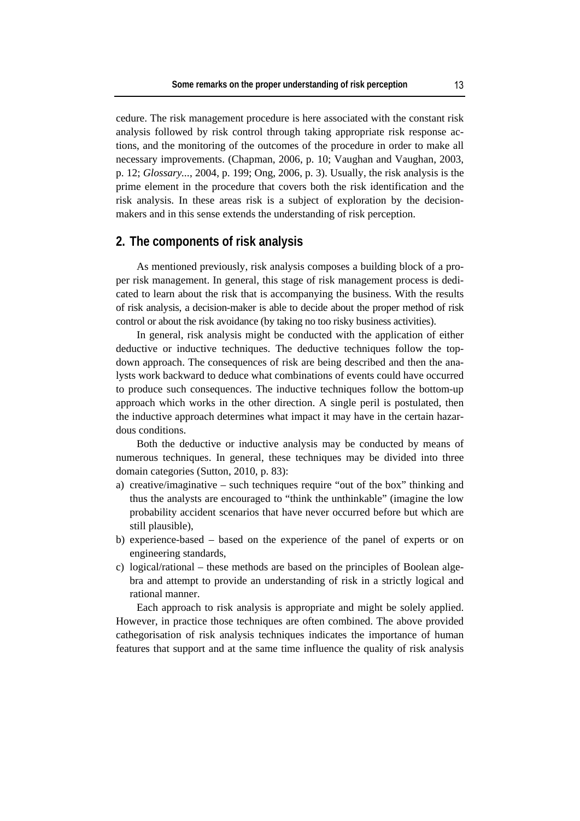cedure. The risk management procedure is here associated with the constant risk analysis followed by risk control through taking appropriate risk response actions, and the monitoring of the outcomes of the procedure in order to make all necessary improvements. (Chapman, 2006, p. 10; Vaughan and Vaughan, 2003, p. 12; *Glossary...*, 2004, p. 199; Ong, 2006, p. 3). Usually, the risk analysis is the prime element in the procedure that covers both the risk identification and the risk analysis. In these areas risk is a subject of exploration by the decisionmakers and in this sense extends the understanding of risk perception.

#### **2. The components of risk analysis**

As mentioned previously, risk analysis composes a building block of a proper risk management. In general, this stage of risk management process is dedicated to learn about the risk that is accompanying the business. With the results of risk analysis, a decision-maker is able to decide about the proper method of risk control or about the risk avoidance (by taking no too risky business activities).

In general, risk analysis might be conducted with the application of either deductive or inductive techniques. The deductive techniques follow the topdown approach. The consequences of risk are being described and then the analysts work backward to deduce what combinations of events could have occurred to produce such consequences. The inductive techniques follow the bottom-up approach which works in the other direction. A single peril is postulated, then the inductive approach determines what impact it may have in the certain hazardous conditions.

Both the deductive or inductive analysis may be conducted by means of numerous techniques. In general, these techniques may be divided into three domain categories (Sutton, 2010, p. 83):

- a) creative/imaginative such techniques require "out of the box" thinking and thus the analysts are encouraged to "think the unthinkable" (imagine the low probability accident scenarios that have never occurred before but which are still plausible),
- b) experience-based based on the experience of the panel of experts or on engineering standards,
- c) logical/rational these methods are based on the principles of Boolean algebra and attempt to provide an understanding of risk in a strictly logical and rational manner.

Each approach to risk analysis is appropriate and might be solely applied. However, in practice those techniques are often combined. The above provided cathegorisation of risk analysis techniques indicates the importance of human features that support and at the same time influence the quality of risk analysis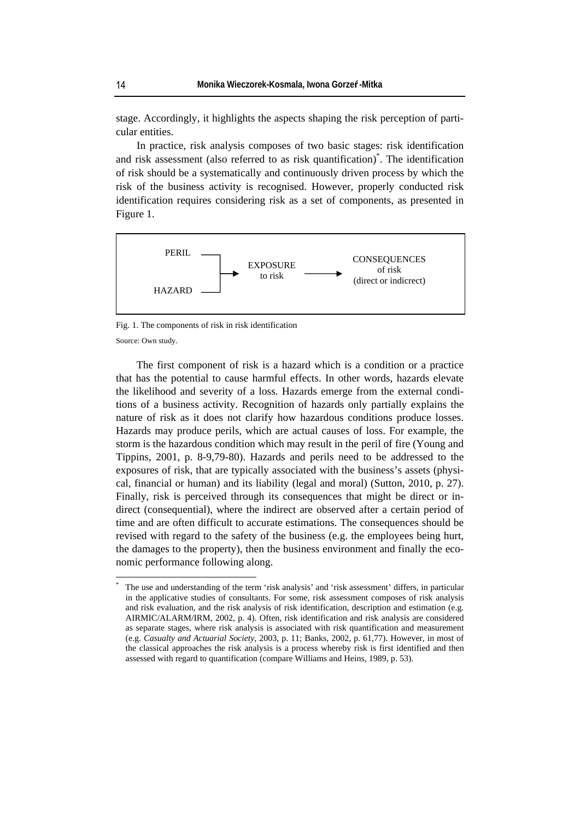stage. Accordingly, it highlights the aspects shaping the risk perception of particular entities.

In practice, risk analysis composes of two basic stages: risk identification and risk assessment (also referred to as risk quantification)\* . The identification of risk should be a systematically and continuously driven process by which the risk of the business activity is recognised. However, properly conducted risk identification requires considering risk as a set of components, as presented in Figure 1.



Fig. 1. The components of risk in risk identification

Source: Own study.

 $\overline{a}$ 

The first component of risk is a hazard which is a condition or a practice that has the potential to cause harmful effects. In other words, hazards elevate the likelihood and severity of a loss. Hazards emerge from the external conditions of a business activity. Recognition of hazards only partially explains the nature of risk as it does not clarify how hazardous conditions produce losses. Hazards may produce perils, which are actual causes of loss. For example, the storm is the hazardous condition which may result in the peril of fire (Young and Tippins, 2001, p. 8-9,79-80). Hazards and perils need to be addressed to the exposures of risk, that are typically associated with the business's assets (physical, financial or human) and its liability (legal and moral) (Sutton, 2010, p. 27). Finally, risk is perceived through its consequences that might be direct or indirect (consequential), where the indirect are observed after a certain period of time and are often difficult to accurate estimations. The consequences should be revised with regard to the safety of the business (e.g. the employees being hurt, the damages to the property), then the business environment and finally the economic performance following along.

<sup>\*</sup> The use and understanding of the term 'risk analysis' and 'risk assessment' differs, in particular in the applicative studies of consultants. For some, risk assessment composes of risk analysis and risk evaluation, and the risk analysis of risk identification, description and estimation (e.g. AIRMIC/ALARM/IRM, 2002, p. 4). Often, risk identification and risk analysis are considered as separate stages, where risk analysis is associated with risk quantification and measurement (e.g. *Casualty and Actuarial Society*, 2003, p. 11; Banks, 2002, p. 61,77). However, in most of the classical approaches the risk analysis is a process whereby risk is first identified and then assessed with regard to quantification (compare Williams and Heins, 1989, p. 53).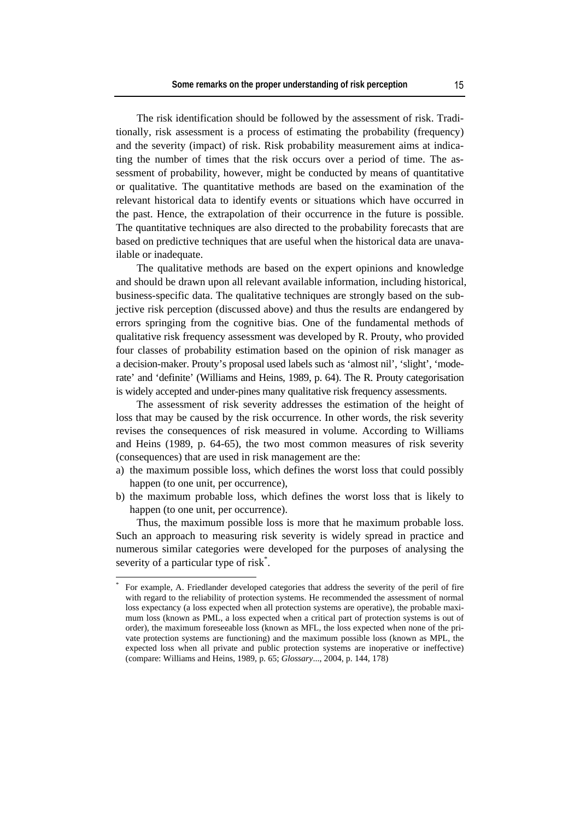The risk identification should be followed by the assessment of risk. Traditionally, risk assessment is a process of estimating the probability (frequency) and the severity (impact) of risk. Risk probability measurement aims at indicating the number of times that the risk occurs over a period of time. The assessment of probability, however, might be conducted by means of quantitative or qualitative. The quantitative methods are based on the examination of the relevant historical data to identify events or situations which have occurred in the past. Hence, the extrapolation of their occurrence in the future is possible. The quantitative techniques are also directed to the probability forecasts that are based on predictive techniques that are useful when the historical data are unavailable or inadequate.

The qualitative methods are based on the expert opinions and knowledge and should be drawn upon all relevant available information, including historical, business-specific data. The qualitative techniques are strongly based on the subjective risk perception (discussed above) and thus the results are endangered by errors springing from the cognitive bias. One of the fundamental methods of qualitative risk frequency assessment was developed by R. Prouty, who provided four classes of probability estimation based on the opinion of risk manager as a decision-maker. Prouty's proposal used labels such as 'almost nil', 'slight', 'moderate' and 'definite' (Williams and Heins, 1989, p. 64). The R. Prouty categorisation is widely accepted and under-pines many qualitative risk frequency assessments.

The assessment of risk severity addresses the estimation of the height of loss that may be caused by the risk occurrence. In other words, the risk severity revises the consequences of risk measured in volume. According to Williams and Heins (1989, p. 64-65), the two most common measures of risk severity (consequences) that are used in risk management are the:

- a) the maximum possible loss, which defines the worst loss that could possibly happen (to one unit, per occurrence),
- b) the maximum probable loss, which defines the worst loss that is likely to happen (to one unit, per occurrence).

Thus, the maximum possible loss is more that he maximum probable loss. Such an approach to measuring risk severity is widely spread in practice and numerous similar categories were developed for the purposes of analysing the severity of a particular type of risk\*.

 $\overline{a}$ 

<sup>\*</sup> For example, A. Friedlander developed categories that address the severity of the peril of fire with regard to the reliability of protection systems. He recommended the assessment of normal loss expectancy (a loss expected when all protection systems are operative), the probable maximum loss (known as PML, a loss expected when a critical part of protection systems is out of order), the maximum foreseeable loss (known as MFL, the loss expected when none of the private protection systems are functioning) and the maximum possible loss (known as MPL, the expected loss when all private and public protection systems are inoperative or ineffective) (compare: Williams and Heins, 1989, p. 65; *Glossary*..., 2004, p. 144, 178)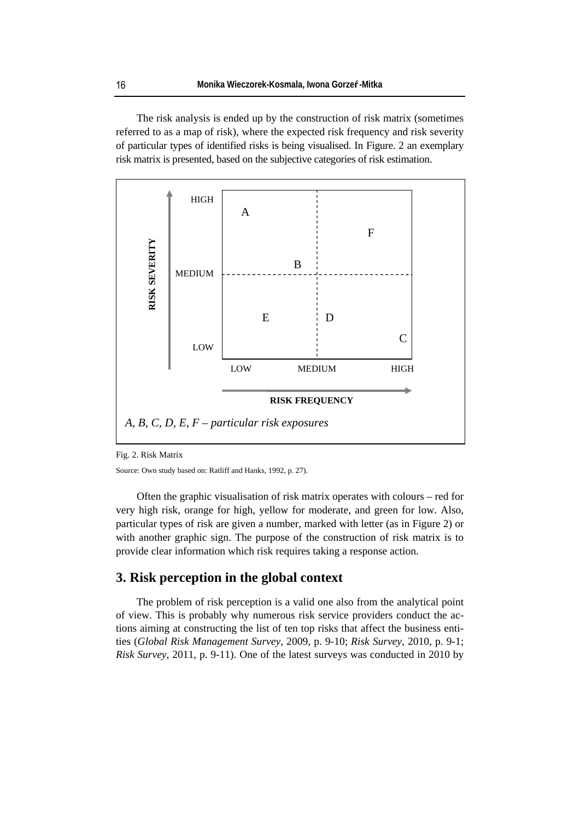The risk analysis is ended up by the construction of risk matrix (sometimes referred to as a map of risk), where the expected risk frequency and risk severity of particular types of identified risks is being visualised. In Figure. 2 an exemplary risk matrix is presented, based on the subjective categories of risk estimation.



Fig. 2. Risk Matrix

Source: Own study based on: Ratliff and Hanks, 1992, p. 27).

Often the graphic visualisation of risk matrix operates with colours – red for very high risk, orange for high, yellow for moderate, and green for low. Also, particular types of risk are given a number, marked with letter (as in Figure 2) or with another graphic sign. The purpose of the construction of risk matrix is to provide clear information which risk requires taking a response action.

#### **3. Risk perception in the global context**

The problem of risk perception is a valid one also from the analytical point of view. This is probably why numerous risk service providers conduct the actions aiming at constructing the list of ten top risks that affect the business entities (*Global Risk Management Survey*, 2009, p. 9-10; *Risk Survey*, 2010, p. 9-1; *Risk Survey*, 2011, p. 9-11). One of the latest surveys was conducted in 2010 by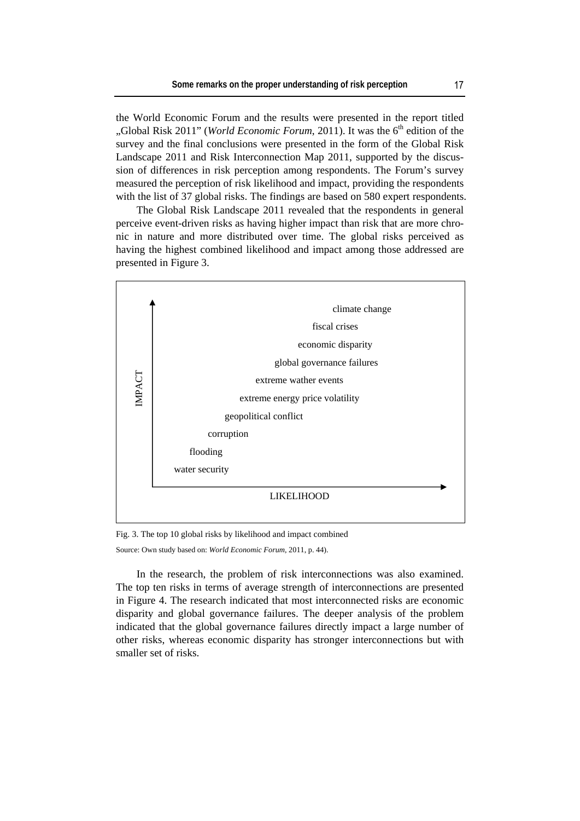the World Economic Forum and the results were presented in the report titled "Global Risk 2011" (*World Economic Forum*, 2011). It was the 6<sup>th</sup> edition of the survey and the final conclusions were presented in the form of the Global Risk Landscape 2011 and Risk Interconnection Map 2011, supported by the discussion of differences in risk perception among respondents. The Forum's survey measured the perception of risk likelihood and impact, providing the respondents with the list of 37 global risks. The findings are based on 580 expert respondents.

The Global Risk Landscape 2011 revealed that the respondents in general perceive event-driven risks as having higher impact than risk that are more chronic in nature and more distributed over time. The global risks perceived as having the highest combined likelihood and impact among those addressed are presented in Figure 3.



Fig. 3. The top 10 global risks by likelihood and impact combined

Source: Own study based on: *World Economic Forum*, 2011, p. 44).

In the research, the problem of risk interconnections was also examined. The top ten risks in terms of average strength of interconnections are presented in Figure 4. The research indicated that most interconnected risks are economic disparity and global governance failures. The deeper analysis of the problem indicated that the global governance failures directly impact a large number of other risks, whereas economic disparity has stronger interconnections but with smaller set of risks.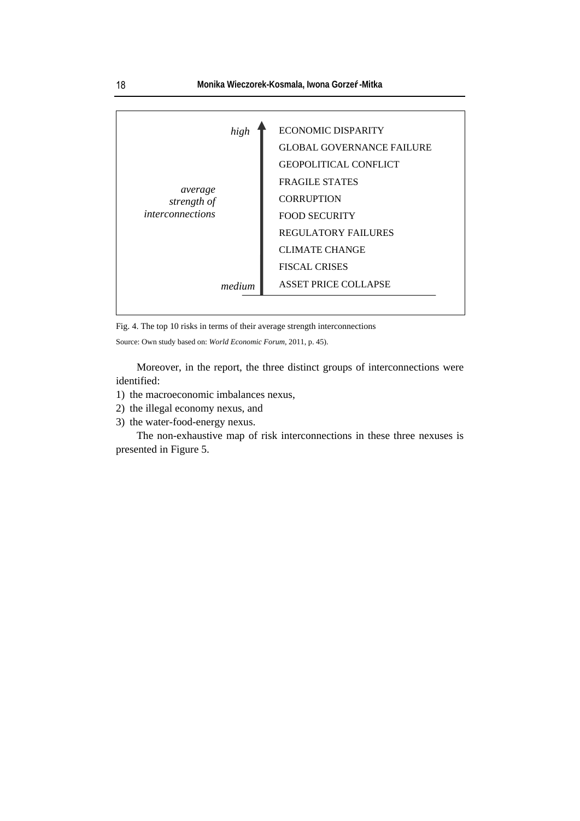

Fig. 4. The top 10 risks in terms of their average strength interconnections

Source: Own study based on: *World Economic Forum*, 2011, p. 45).

Moreover, in the report, the three distinct groups of interconnections were identified:

- 1) the macroeconomic imbalances nexus,
- 2) the illegal economy nexus, and
- 3) the water-food-energy nexus.

The non-exhaustive map of risk interconnections in these three nexuses is presented in Figure 5.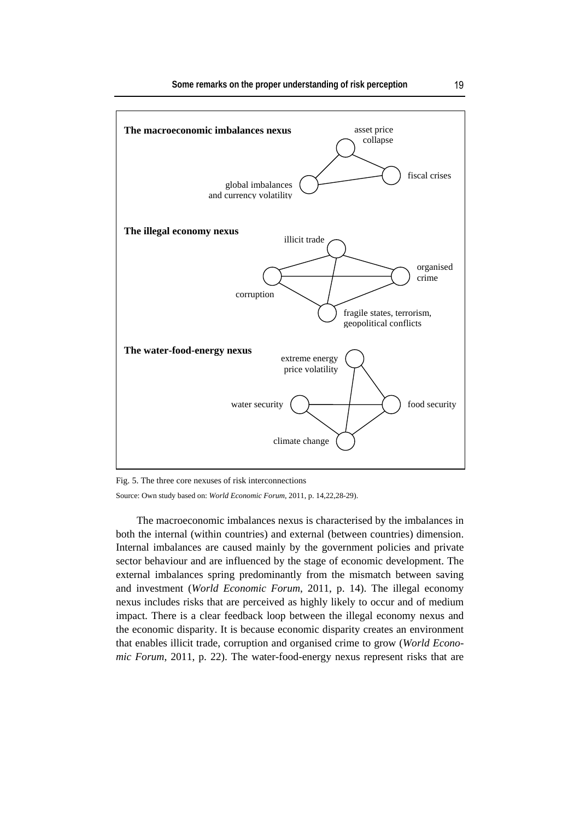

Fig. 5. The three core nexuses of risk interconnections

Source: Own study based on: *World Economic Forum*, 2011, p. 14,22,28-29).

The macroeconomic imbalances nexus is characterised by the imbalances in both the internal (within countries) and external (between countries) dimension. Internal imbalances are caused mainly by the government policies and private sector behaviour and are influenced by the stage of economic development. The external imbalances spring predominantly from the mismatch between saving and investment (*World Economic Forum*, 2011, p. 14). The illegal economy nexus includes risks that are perceived as highly likely to occur and of medium impact. There is a clear feedback loop between the illegal economy nexus and the economic disparity. It is because economic disparity creates an environment that enables illicit trade, corruption and organised crime to grow (*World Economic Forum*, 2011, p. 22). The water-food-energy nexus represent risks that are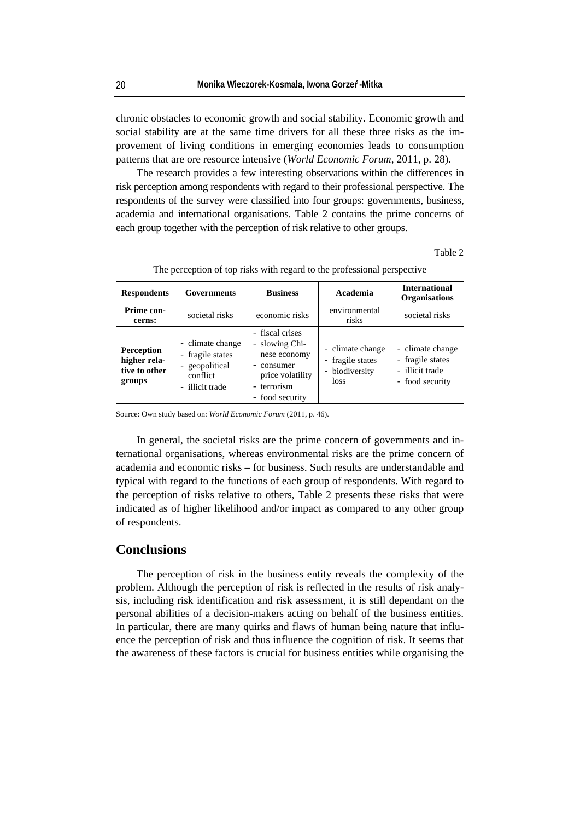chronic obstacles to economic growth and social stability. Economic growth and social stability are at the same time drivers for all these three risks as the improvement of living conditions in emerging economies leads to consumption patterns that are ore resource intensive (*World Economic Forum*, 2011, p. 28).

The research provides a few interesting observations within the differences in risk perception among respondents with regard to their professional perspective. The respondents of the survey were classified into four groups: governments, business, academia and international organisations. Table 2 contains the prime concerns of each group together with the perception of risk relative to other groups.

Table 2

| <b>Respondents</b>                                           | <b>Governments</b>                                                                         | <b>Business</b>                                                                                                                             | Academia                                                       | <b>International</b><br><b>Organisations</b>                               |
|--------------------------------------------------------------|--------------------------------------------------------------------------------------------|---------------------------------------------------------------------------------------------------------------------------------------------|----------------------------------------------------------------|----------------------------------------------------------------------------|
| Prime con-<br>cerns:                                         | societal risks                                                                             | economic risks                                                                                                                              | environmental<br>risks                                         | societal risks                                                             |
| <b>Perception</b><br>higher rela-<br>tive to other<br>groups | - climate change<br>- fragile states<br>- geopolitical<br>conflict<br>illicit trade<br>$-$ | - fiscal crises<br>- slowing Chi-<br>nese economy<br>consumer<br>price volatility<br>terrorism<br>food security<br>$\overline{\phantom{0}}$ | - climate change<br>- fragile states<br>- biodiversity<br>loss | - climate change<br>- fragile states<br>- illicit trade<br>- food security |

The perception of top risks with regard to the professional perspective

Source: Own study based on: *World Economic Forum* (2011, p. 46).

In general, the societal risks are the prime concern of governments and international organisations, whereas environmental risks are the prime concern of academia and economic risks – for business. Such results are understandable and typical with regard to the functions of each group of respondents. With regard to the perception of risks relative to others, Table 2 presents these risks that were indicated as of higher likelihood and/or impact as compared to any other group of respondents.

### **Conclusions**

The perception of risk in the business entity reveals the complexity of the problem. Although the perception of risk is reflected in the results of risk analysis, including risk identification and risk assessment, it is still dependant on the personal abilities of a decision-makers acting on behalf of the business entities. In particular, there are many quirks and flaws of human being nature that influence the perception of risk and thus influence the cognition of risk. It seems that the awareness of these factors is crucial for business entities while organising the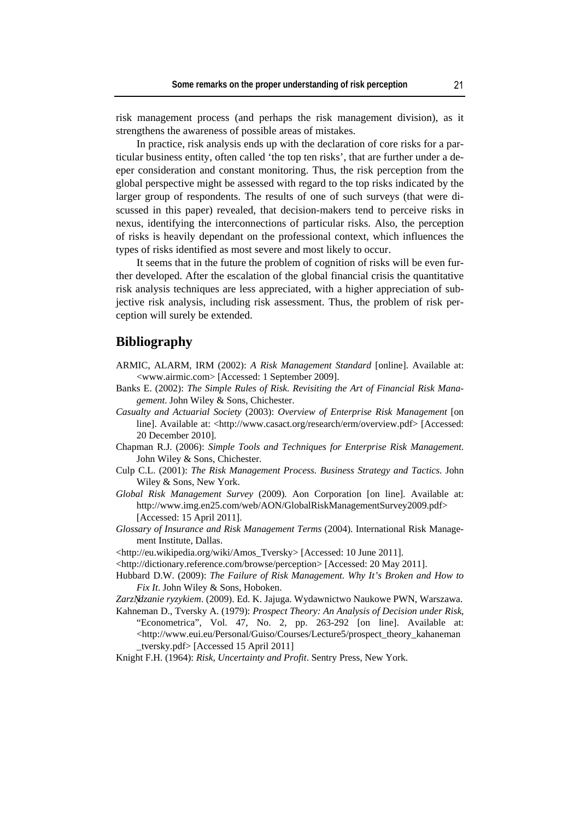risk management process (and perhaps the risk management division), as it strengthens the awareness of possible areas of mistakes.

In practice, risk analysis ends up with the declaration of core risks for a particular business entity, often called 'the top ten risks', that are further under a deeper consideration and constant monitoring. Thus, the risk perception from the global perspective might be assessed with regard to the top risks indicated by the larger group of respondents. The results of one of such surveys (that were discussed in this paper) revealed, that decision-makers tend to perceive risks in nexus, identifying the interconnections of particular risks. Also, the perception of risks is heavily dependant on the professional context, which influences the types of risks identified as most severe and most likely to occur.

It seems that in the future the problem of cognition of risks will be even further developed. After the escalation of the global financial crisis the quantitative risk analysis techniques are less appreciated, with a higher appreciation of subjective risk analysis, including risk assessment. Thus, the problem of risk perception will surely be extended.

#### **Bibliography**

- ARMIC, ALARM, IRM (2002): *A Risk Management Standard* [online]. Available at: <www.airmic.com> [Accessed: 1 September 2009].
- Banks E. (2002): *The Simple Rules of Risk. Revisiting the Art of Financial Risk Management*. John Wiley & Sons, Chichester.
- *Casualty and Actuarial Society* (2003): *Overview of Enterprise Risk Management* [on line]. Available at: <http://www.casact.org/research/erm/overview.pdf> [Accessed: 20 December 2010].
- Chapman R.J. (2006): *Simple Tools and Techniques for Enterprise Risk Management*. John Wiley & Sons, Chichester.
- Culp C.L. (2001): *The Risk Management Process. Business Strategy and Tactics*. John Wiley & Sons, New York.
- *Global Risk Management Survey* (2009). Aon Corporation [on line]. Available at: http://www.img.en25.com/web/AON/GlobalRiskManagementSurvey2009.pdf> [Accessed: 15 April 2011].
- *Glossary of Insurance and Risk Management Terms* (2004). International Risk Management Institute, Dallas.

<http://eu.wikipedia.org/wiki/Amos\_Tversky> [Accessed: 10 June 2011].

- <http://dictionary.reference.com/browse/perception> [Accessed: 20 May 2011].
- Hubbard D.W. (2009): *The Failure of Risk Management. Why It's Broken and How to Fix It*. John Wiley & Sons, Hoboken.
- *Zarz dzanie ryzykiem*. (2009). Ed. K. Jajuga. Wydawnictwo Naukowe PWN, Warszawa.
- Kahneman D., Tversky A. (1979): *Prospect Theory: An Analysis of Decision under Risk*, "Econometrica", Vol. 47, No. 2, pp. 263-292 [on line]. Available at: <http://www.eui.eu/Personal/Guiso/Courses/Lecture5/prospect\_theory\_kahaneman \_tversky.pdf> [Accessed 15 April 2011]
- Knight F.H. (1964): *Risk, Uncertainty and Profit*. Sentry Press, New York.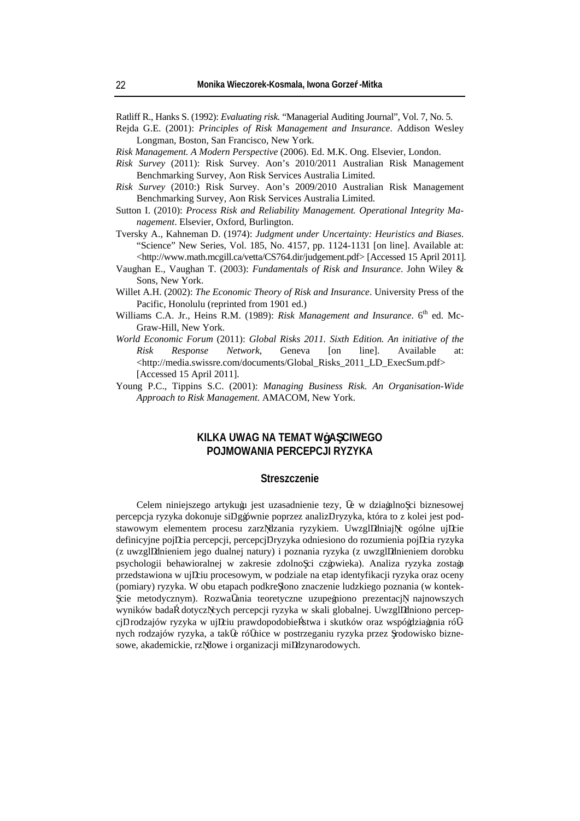Ratliff R., Hanks S. (1992): *Evaluating risk.* "Managerial Auditing Journal", Vol. 7, No. 5.

- Rejda G.E. (2001): *Principles of Risk Management and Insurance*. Addison Wesley Longman, Boston, San Francisco, New York.
- *Risk Management. A Modern Perspective* (2006). Ed. M.K. Ong. Elsevier, London.
- *Risk Survey* (2011): Risk Survey. Aon's 2010/2011 Australian Risk Management Benchmarking Survey, Aon Risk Services Australia Limited.
- *Risk Survey* (2010:) Risk Survey. Aon's 2009/2010 Australian Risk Management Benchmarking Survey, Aon Risk Services Australia Limited.
- Sutton I. (2010): *Process Risk and Reliability Management. Operational Integrity Management*. Elsevier, Oxford, Burlington.
- Tversky A., Kahneman D. (1974): *Judgment under Uncertainty: Heuristics and Biases*. "Science" New Series, Vol. 185, No. 4157, pp. 1124-1131 [on line]. Available at: <http://www.math.mcgill.ca/vetta/CS764.dir/judgement.pdf> [Accessed 15 April 2011].
- Vaughan E., Vaughan T. (2003): *Fundamentals of Risk and Insurance*. John Wiley & Sons, New York.
- Willet A.H. (2002): *The Economic Theory of Risk and Insurance*. University Press of the Pacific, Honolulu (reprinted from 1901 ed.)
- Williams C.A. Jr., Heins R.M. (1989): *Risk Management and Insurance*. 6<sup>th</sup> ed. Mc-Graw-Hill, New York.
- *World Economic Forum* (2011): *Global Risks 2011. Sixth Edition. An initiative of the Risk Response Network*, Geneva [on line]. Available at: <http://media.swissre.com/documents/Global\_Risks\_2011\_LD\_ExecSum.pdf> [Accessed 15 April 2011].
- Young P.C., Tippins S.C. (2001): *Managing Business Risk. An Organisation-Wide Approach to Risk Management*. AMACOM, New York.

#### **KILKA UWAG NA TEMAT WŁA CIWEGO POJMOWANIA PERCEPCJI RYZYKA**

#### **Streszczenie**

Celem niniejszego artykułu jest uzasadnienie tezy, e w działalno ci biznesowej percepcja ryzyka dokonuje si głównie poprzez analiz ryzyka, która to z kolei jest podstawowym elementem procesu zarz dzania ryzykiem. Uwzgl dniaj c ogólne uj cie definicyjne poj cia percepcji, percepcj ryzyka odniesiono do rozumienia poj cia ryzyka (z uwzgl dnieniem jego dualnej natury) i poznania ryzyka (z uwzgl dnieniem dorobku psychologii behawioralnej w zakresie zdolno ci człowieka). Analiza ryzyka została przedstawiona w uj ciu procesowym, w podziale na etap identyfikacji ryzyka oraz oceny (pomiary) ryzyka. W obu etapach podkre lono znaczenie ludzkiego poznania (w kontekcie metodycznym). Rozwa ania teoretyczne uzupełniono prezentacj najnowszych wyników bada dotycz cych percepcji ryzyka w skali globalnej. Uwzgl dniono percepcj rodzajów ryzyka w uj ciu prawdopodobie stwa i skutków oraz współdziałania ró nych rodzajów ryzyka, a tak e ró nice w postrzeganiu ryzyka przez rodowisko biznesowe, akademickie, rz dowe i organizacji mi dzynarodowych.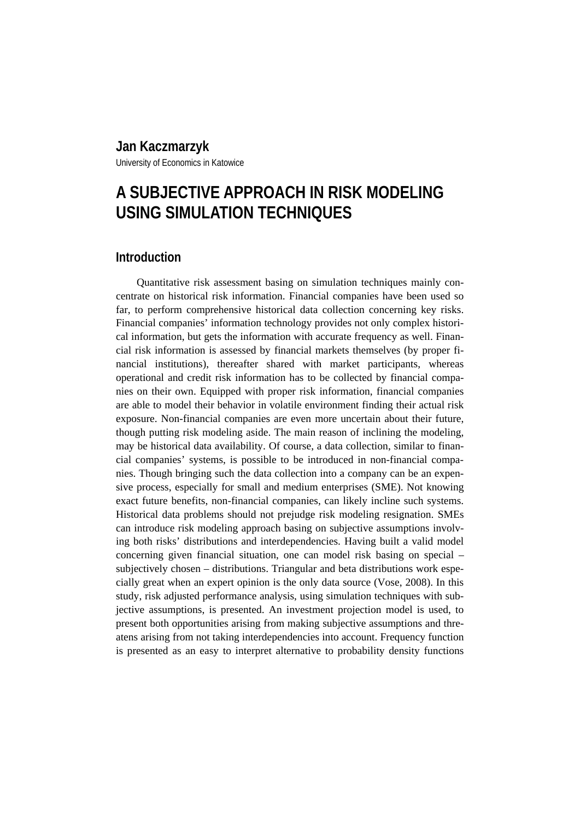# **Jan Kaczmarzyk**

University of Economics in Katowice

# **A SUBJECTIVE APPROACH IN RISK MODELING USING SIMULATION TECHNIQUES**

## **Introduction**

Quantitative risk assessment basing on simulation techniques mainly concentrate on historical risk information. Financial companies have been used so far, to perform comprehensive historical data collection concerning key risks. Financial companies' information technology provides not only complex historical information, but gets the information with accurate frequency as well. Financial risk information is assessed by financial markets themselves (by proper financial institutions), thereafter shared with market participants, whereas operational and credit risk information has to be collected by financial companies on their own. Equipped with proper risk information, financial companies are able to model their behavior in volatile environment finding their actual risk exposure. Non-financial companies are even more uncertain about their future, though putting risk modeling aside. The main reason of inclining the modeling, may be historical data availability. Of course, a data collection, similar to financial companies' systems, is possible to be introduced in non-financial companies. Though bringing such the data collection into a company can be an expensive process, especially for small and medium enterprises (SME). Not knowing exact future benefits, non-financial companies, can likely incline such systems. Historical data problems should not prejudge risk modeling resignation. SMEs can introduce risk modeling approach basing on subjective assumptions involving both risks' distributions and interdependencies. Having built a valid model concerning given financial situation, one can model risk basing on special – subjectively chosen – distributions. Triangular and beta distributions work especially great when an expert opinion is the only data source (Vose, 2008). In this study, risk adjusted performance analysis, using simulation techniques with subjective assumptions, is presented. An investment projection model is used, to present both opportunities arising from making subjective assumptions and threatens arising from not taking interdependencies into account. Frequency function is presented as an easy to interpret alternative to probability density functions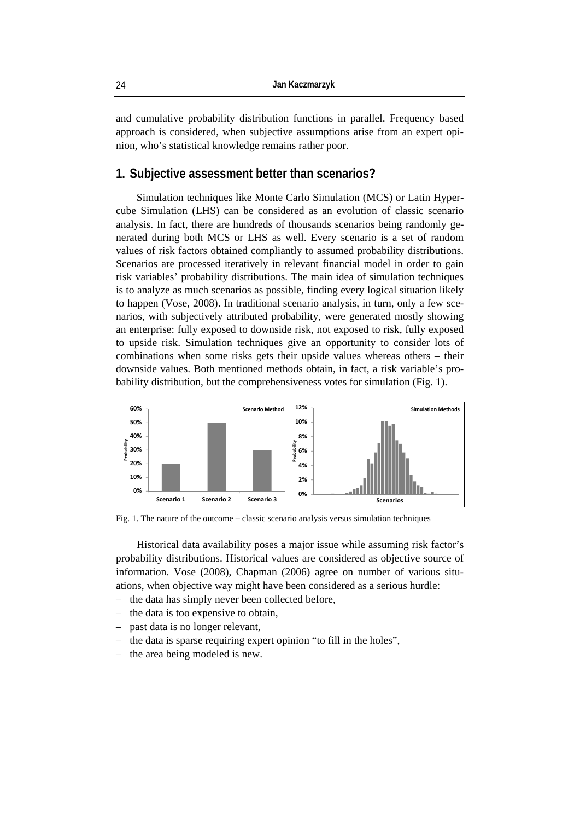and cumulative probability distribution functions in parallel. Frequency based approach is considered, when subjective assumptions arise from an expert opinion, who's statistical knowledge remains rather poor.

#### **1. Subjective assessment better than scenarios?**

Simulation techniques like Monte Carlo Simulation (MCS) or Latin Hypercube Simulation (LHS) can be considered as an evolution of classic scenario analysis. In fact, there are hundreds of thousands scenarios being randomly generated during both MCS or LHS as well. Every scenario is a set of random values of risk factors obtained compliantly to assumed probability distributions. Scenarios are processed iteratively in relevant financial model in order to gain risk variables' probability distributions. The main idea of simulation techniques is to analyze as much scenarios as possible, finding every logical situation likely to happen (Vose, 2008). In traditional scenario analysis, in turn, only a few scenarios, with subjectively attributed probability, were generated mostly showing an enterprise: fully exposed to downside risk, not exposed to risk, fully exposed to upside risk. Simulation techniques give an opportunity to consider lots of combinations when some risks gets their upside values whereas others – their downside values. Both mentioned methods obtain, in fact, a risk variable's probability distribution, but the comprehensiveness votes for simulation (Fig. 1).



Fig. 1. The nature of the outcome – classic scenario analysis versus simulation techniques

Historical data availability poses a major issue while assuming risk factor's probability distributions. Historical values are considered as objective source of information. Vose (2008), Chapman (2006) agree on number of various situations, when objective way might have been considered as a serious hurdle:

- the data has simply never been collected before,
- the data is too expensive to obtain,
- past data is no longer relevant,
- the data is sparse requiring expert opinion "to fill in the holes",
- the area being modeled is new.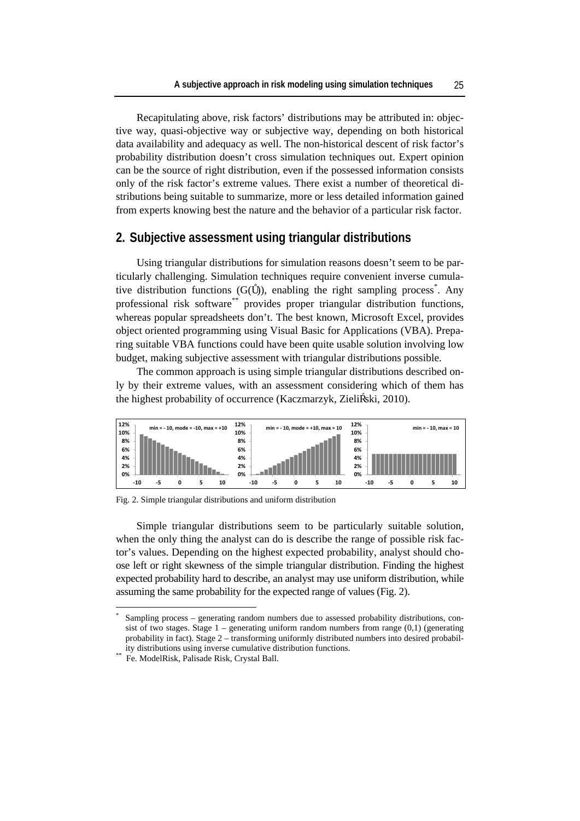Recapitulating above, risk factors' distributions may be attributed in: objective way, quasi-objective way or subjective way, depending on both historical data availability and adequacy as well. The non-historical descent of risk factor's probability distribution doesn't cross simulation techniques out. Expert opinion can be the source of right distribution, even if the possessed information consists only of the risk factor's extreme values. There exist a number of theoretical distributions being suitable to summarize, more or less detailed information gained from experts knowing best the nature and the behavior of a particular risk factor.

#### **2. Subjective assessment using triangular distributions**

Using triangular distributions for simulation reasons doesn't seem to be particularly challenging. Simulation techniques require convenient inverse cumulative distribution functions  $(G($  )), enabling the right sampling process<sup>\*</sup>. Any professional risk software<sup>\*\*</sup> provides proper triangular distribution functions, whereas popular spreadsheets don't. The best known, Microsoft Excel, provides object oriented programming using Visual Basic for Applications (VBA). Preparing suitable VBA functions could have been quite usable solution involving low budget, making subjective assessment with triangular distributions possible.

The common approach is using simple triangular distributions described only by their extreme values, with an assessment considering which of them has the highest probability of occurrence (Kaczmarzyk, Zieli ski, 2010).



Fig. 2. Simple triangular distributions and uniform distribution

Simple triangular distributions seem to be particularly suitable solution, when the only thing the analyst can do is describe the range of possible risk factor's values. Depending on the highest expected probability, analyst should choose left or right skewness of the simple triangular distribution. Finding the highest expected probability hard to describe, an analyst may use uniform distribution, while assuming the same probability for the expected range of values (Fig. 2).

 $\overline{a}$ 

<sup>\*</sup> Sampling process – generating random numbers due to assessed probability distributions, consist of two stages. Stage  $1$  – generating uniform random numbers from range  $(0,1)$  (generating probability in fact). Stage 2 – transforming uniformly distributed numbers into desired probability distributions using inverse cumulative distribution functions.<br>Fe. ModelRisk, Palisade Risk, Crystal Ball.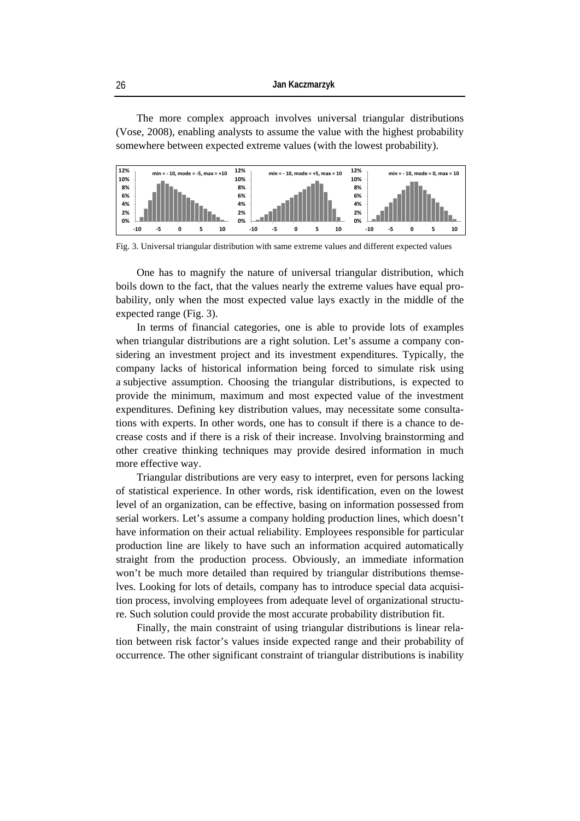The more complex approach involves universal triangular distributions (Vose, 2008), enabling analysts to assume the value with the highest probability somewhere between expected extreme values (with the lowest probability).



Fig. 3. Universal triangular distribution with same extreme values and different expected values

One has to magnify the nature of universal triangular distribution, which boils down to the fact, that the values nearly the extreme values have equal probability, only when the most expected value lays exactly in the middle of the expected range (Fig. 3).

In terms of financial categories, one is able to provide lots of examples when triangular distributions are a right solution. Let's assume a company considering an investment project and its investment expenditures. Typically, the company lacks of historical information being forced to simulate risk using a subjective assumption. Choosing the triangular distributions, is expected to provide the minimum, maximum and most expected value of the investment expenditures. Defining key distribution values, may necessitate some consultations with experts. In other words, one has to consult if there is a chance to decrease costs and if there is a risk of their increase. Involving brainstorming and other creative thinking techniques may provide desired information in much more effective way.

Triangular distributions are very easy to interpret, even for persons lacking of statistical experience. In other words, risk identification, even on the lowest level of an organization, can be effective, basing on information possessed from serial workers. Let's assume a company holding production lines, which doesn't have information on their actual reliability. Employees responsible for particular production line are likely to have such an information acquired automatically straight from the production process. Obviously, an immediate information won't be much more detailed than required by triangular distributions themselves. Looking for lots of details, company has to introduce special data acquisition process, involving employees from adequate level of organizational structure. Such solution could provide the most accurate probability distribution fit.

Finally, the main constraint of using triangular distributions is linear relation between risk factor's values inside expected range and their probability of occurrence. The other significant constraint of triangular distributions is inability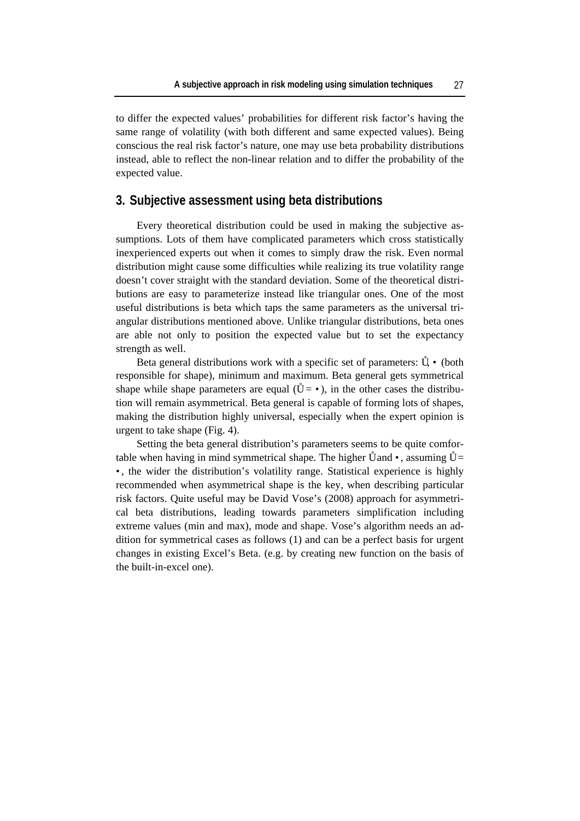to differ the expected values' probabilities for different risk factor's having the same range of volatility (with both different and same expected values). Being conscious the real risk factor's nature, one may use beta probability distributions instead, able to reflect the non-linear relation and to differ the probability of the expected value.

#### **3. Subjective assessment using beta distributions**

Every theoretical distribution could be used in making the subjective assumptions. Lots of them have complicated parameters which cross statistically inexperienced experts out when it comes to simply draw the risk. Even normal distribution might cause some difficulties while realizing its true volatility range doesn't cover straight with the standard deviation. Some of the theoretical distributions are easy to parameterize instead like triangular ones. One of the most useful distributions is beta which taps the same parameters as the universal triangular distributions mentioned above. Unlike triangular distributions, beta ones are able not only to position the expected value but to set the expectancy strength as well.

Beta general distributions work with a specific set of parameters: , (both responsible for shape), minimum and maximum. Beta general gets symmetrical shape while shape parameters are equal  $( = )$ , in the other cases the distribution will remain asymmetrical. Beta general is capable of forming lots of shapes, making the distribution highly universal, especially when the expert opinion is urgent to take shape (Fig. 4).

Setting the beta general distribution's parameters seems to be quite comfortable when having in mind symmetrical shape. The higher and , assuming = , the wider the distribution's volatility range. Statistical experience is highly recommended when asymmetrical shape is the key, when describing particular risk factors. Quite useful may be David Vose's (2008) approach for asymmetrical beta distributions, leading towards parameters simplification including extreme values (min and max), mode and shape. Vose's algorithm needs an addition for symmetrical cases as follows (1) and can be a perfect basis for urgent changes in existing Excel's Beta. (e.g. by creating new function on the basis of the built-in-excel one).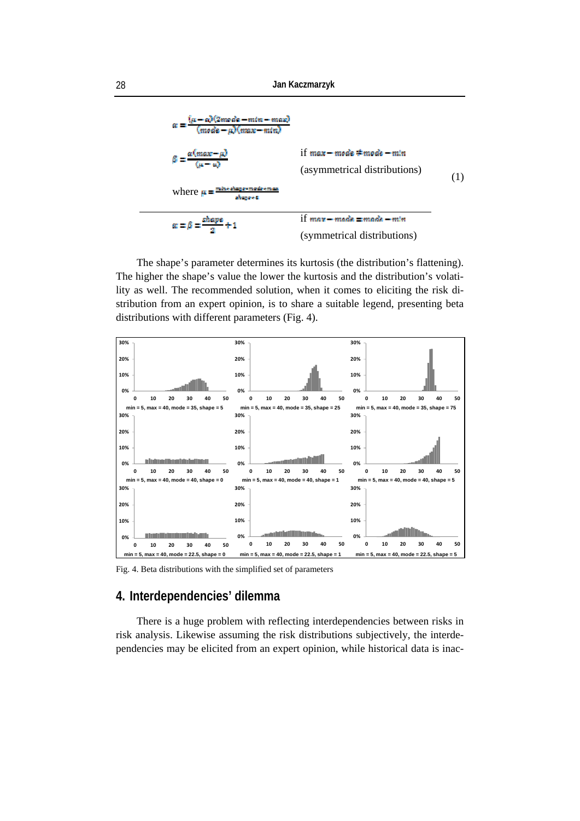

The shape's parameter determines its kurtosis (the distribution's flattening). The higher the shape's value the lower the kurtosis and the distribution's volatility as well. The recommended solution, when it comes to eliciting the risk distribution from an expert opinion, is to share a suitable legend, presenting beta distributions with different parameters (Fig. 4).



Fig. 4. Beta distributions with the simplified set of parameters

## **4. Interdependencies' dilemma**

There is a huge problem with reflecting interdependencies between risks in risk analysis. Likewise assuming the risk distributions subjectively, the interdependencies may be elicited from an expert opinion, while historical data is inac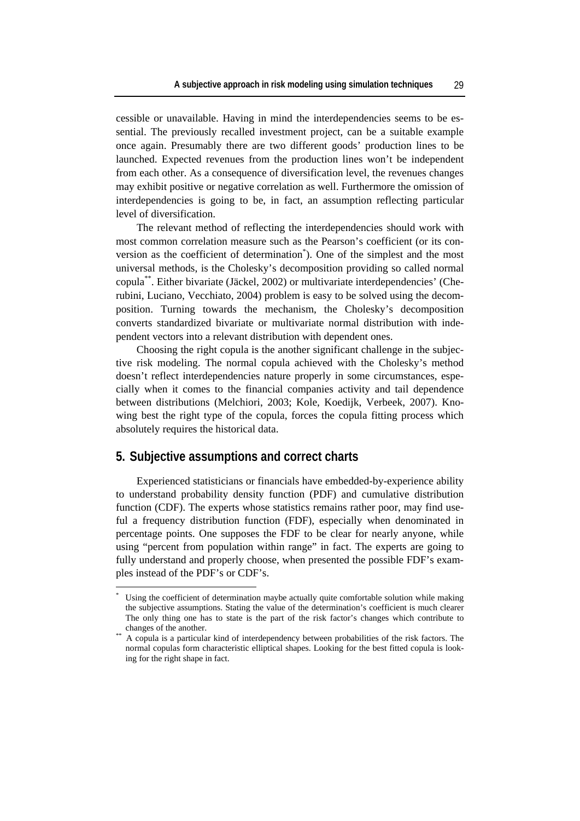cessible or unavailable. Having in mind the interdependencies seems to be essential. The previously recalled investment project, can be a suitable example once again. Presumably there are two different goods' production lines to be launched. Expected revenues from the production lines won't be independent from each other. As a consequence of diversification level, the revenues changes may exhibit positive or negative correlation as well. Furthermore the omission of interdependencies is going to be, in fact, an assumption reflecting particular level of diversification.

The relevant method of reflecting the interdependencies should work with most common correlation measure such as the Pearson's coefficient (or its conversion as the coefficient of determination<sup>\*</sup>). One of the simplest and the most universal methods, is the Cholesky's decomposition providing so called normal copula\*\*. Either bivariate (Jäckel, 2002) or multivariate interdependencies' (Cherubini, Luciano, Vecchiato, 2004) problem is easy to be solved using the decomposition. Turning towards the mechanism, the Cholesky's decomposition converts standardized bivariate or multivariate normal distribution with independent vectors into a relevant distribution with dependent ones.

Choosing the right copula is the another significant challenge in the subjective risk modeling. The normal copula achieved with the Cholesky's method doesn't reflect interdependencies nature properly in some circumstances, especially when it comes to the financial companies activity and tail dependence between distributions (Melchiori, 2003; Kole, Koedijk, Verbeek, 2007). Knowing best the right type of the copula, forces the copula fitting process which absolutely requires the historical data.

#### **5. Subjective assumptions and correct charts**

 $\overline{a}$ 

Experienced statisticians or financials have embedded-by-experience ability to understand probability density function (PDF) and cumulative distribution function (CDF). The experts whose statistics remains rather poor, may find useful a frequency distribution function (FDF), especially when denominated in percentage points. One supposes the FDF to be clear for nearly anyone, while using "percent from population within range" in fact. The experts are going to fully understand and properly choose, when presented the possible FDF's examples instead of the PDF's or CDF's.

<sup>\*</sup> Using the coefficient of determination maybe actually quite comfortable solution while making the subjective assumptions. Stating the value of the determination's coefficient is much clearer The only thing one has to state is the part of the risk factor's changes which contribute to changes of the another.

A copula is a particular kind of interdependency between probabilities of the risk factors. The normal copulas form characteristic elliptical shapes. Looking for the best fitted copula is looking for the right shape in fact.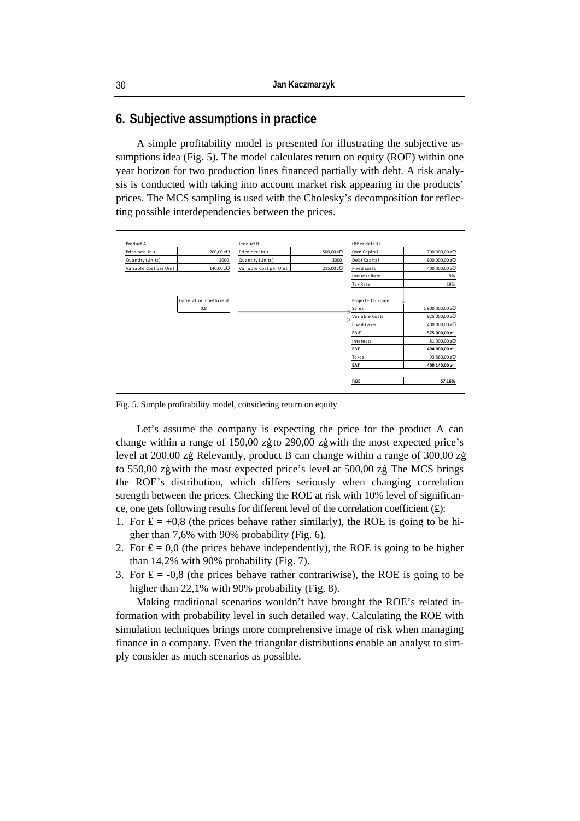## **6. Subjective assumptions in practice**

A simple profitability model is presented for illustrating the subjective assumptions idea (Fig. 5). The model calculates return on equity (ROE) within one year horizon for two production lines financed partially with debt. A risk analysis is conducted with taking into account market risk appearing in the products' prices. The MCS sampling is used with the Cholesky's decomposition for reflecting possible interdependencies between the prices.



Fig. 5. Simple profitability model, considering return on equity

Let's assume the company is expecting the price for the product A can change within a range of 150,00 zł to 290,00 zł with the most expected price's level at 200,00 zł. Relevantly, product B can change within a range of 300,00 zł to 550,00 zł with the most expected price's level at 500,00 zł. The MCS brings the ROE's distribution, which differs seriously when changing correlation strength between the prices. Checking the ROE at risk with 10% level of significance, one gets following results for different level of the correlation coefficient ( ):

- 1. For  $= +0.8$  (the prices behave rather similarly), the ROE is going to be higher than 7,6% with 90% probability (Fig. 6).
- 2. For  $= 0.0$  (the prices behave independently), the ROE is going to be higher than 14,2% with 90% probability (Fig. 7).
- 3. For  $= -0.8$  (the prices behave rather contrariwise), the ROE is going to be higher than 22,1% with 90% probability (Fig. 8).

Making traditional scenarios wouldn't have brought the ROE's related information with probability level in such detailed way. Calculating the ROE with simulation techniques brings more comprehensive image of risk when managing finance in a company. Even the triangular distributions enable an analyst to simply consider as much scenarios as possible.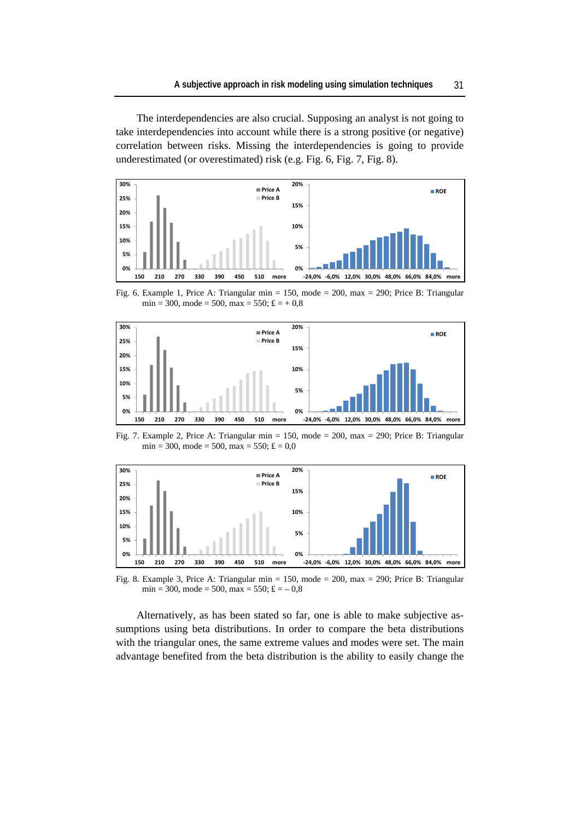The interdependencies are also crucial. Supposing an analyst is not going to take interdependencies into account while there is a strong positive (or negative) correlation between risks. Missing the interdependencies is going to provide underestimated (or overestimated) risk (e.g. Fig. 6, Fig. 7, Fig. 8).



Fig. 6. Example 1, Price A: Triangular min = 150, mode = 200, max = 290; Price B: Triangular  $min = 300$ ,  $mode = 500$ ,  $max = 550$ ;  $= +0.8$ 



Fig. 7. Example 2, Price A: Triangular min = 150, mode = 200, max = 290; Price B: Triangular  $min = 300$ ,  $mode = 500$ ,  $max = 550$ ;  $= 0.0$ 



Fig. 8. Example 3, Price A: Triangular min = 150, mode = 200, max = 290; Price B: Triangular  $min = 300$ ,  $mode = 500$ ,  $max = 550$ ;  $= -0.8$ 

Alternatively, as has been stated so far, one is able to make subjective assumptions using beta distributions. In order to compare the beta distributions with the triangular ones, the same extreme values and modes were set. The main advantage benefited from the beta distribution is the ability to easily change the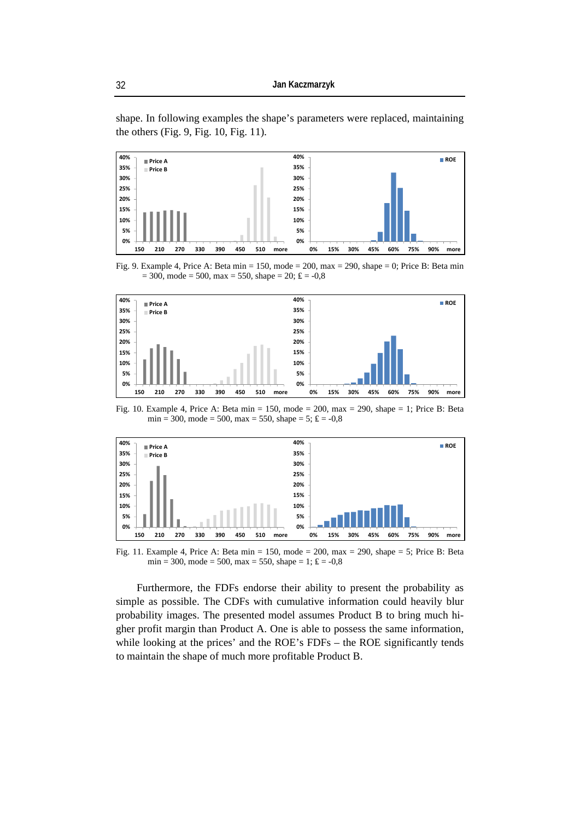shape. In following examples the shape's parameters were replaced, maintaining the others (Fig. 9, Fig. 10, Fig. 11).



Fig. 9. Example 4, Price A: Beta min = 150, mode = 200, max = 290, shape = 0; Price B: Beta min  $= 300$ , mode  $= 500$ , max  $= 550$ , shape  $= 20$ ;  $= -0.8$ 



Fig. 10. Example 4, Price A: Beta min = 150, mode = 200, max = 290, shape = 1; Price B: Beta  $min = 300$ ,  $mode = 500$ ,  $max = 550$ ,  $shape = 5$ ;  $= -0.8$ 



Fig. 11. Example 4, Price A: Beta min = 150, mode = 200, max = 290, shape = 5; Price B: Beta  $min = 300$ ,  $mode = 500$ ,  $max = 550$ ,  $shape = 1$ ; = -0,8

Furthermore, the FDFs endorse their ability to present the probability as simple as possible. The CDFs with cumulative information could heavily blur probability images. The presented model assumes Product B to bring much higher profit margin than Product A. One is able to possess the same information, while looking at the prices' and the ROE's FDFs – the ROE significantly tends to maintain the shape of much more profitable Product B.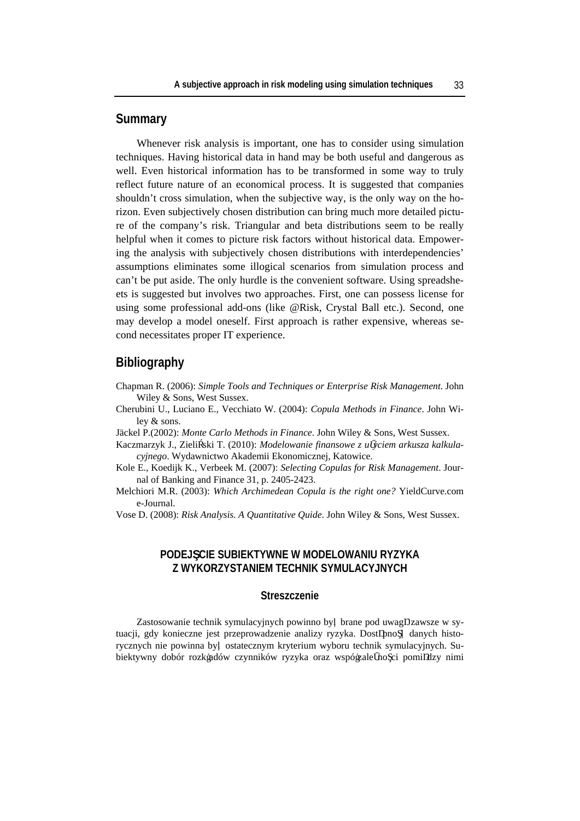### **Summary**

Whenever risk analysis is important, one has to consider using simulation techniques. Having historical data in hand may be both useful and dangerous as well. Even historical information has to be transformed in some way to truly reflect future nature of an economical process. It is suggested that companies shouldn't cross simulation, when the subjective way, is the only way on the horizon. Even subjectively chosen distribution can bring much more detailed picture of the company's risk. Triangular and beta distributions seem to be really helpful when it comes to picture risk factors without historical data. Empowering the analysis with subjectively chosen distributions with interdependencies' assumptions eliminates some illogical scenarios from simulation process and can't be put aside. The only hurdle is the convenient software. Using spreadsheets is suggested but involves two approaches. First, one can possess license for using some professional add-ons (like @Risk, Crystal Ball etc.). Second, one may develop a model oneself. First approach is rather expensive, whereas second necessitates proper IT experience.

### **Bibliography**

- Chapman R. (2006): *Simple Tools and Techniques or Enterprise Risk Management*. John Wiley & Sons, West Sussex.
- Cherubini U., Luciano E., Vecchiato W. (2004): *Copula Methods in Finance*. John Wiley & sons.
- Jäckel P.(2002): *Monte Carlo Methods in Finance*. John Wiley & Sons, West Sussex.
- Kaczmarzyk J., Zieli ski T. (2010): *Modelowanie finansowe z u yciem arkusza kalkulacyjnego*. Wydawnictwo Akademii Ekonomicznej, Katowice.
- Kole E., Koedijk K., Verbeek M. (2007): *Selecting Copulas for Risk Management*. Journal of Banking and Finance 31, p. 2405-2423.
- Melchiori M.R. (2003): *Which Archimedean Copula is the right one?* YieldCurve.com e-Journal.
- Vose D. (2008): *Risk Analysis. A Quantitative Quide*. John Wiley & Sons, West Sussex.

### **PODEJ CIE SUBIEKTYWNE W MODELOWANIU RYZYKA Z WYKORZYSTANIEM TECHNIK SYMULACYJNYCH**

#### **Streszczenie**

Zastosowanie technik symulacyjnych powinno by brane pod uwag zawsze w sytuacji, gdy konieczne jest przeprowadzenie analizy ryzyka. Dost pno danych historycznych nie powinna by ostatecznym kryterium wyboru technik symulacyjnych. Subiektywny dobór rozkładów czynników ryzyka oraz współzale no ci pomi dzy nimi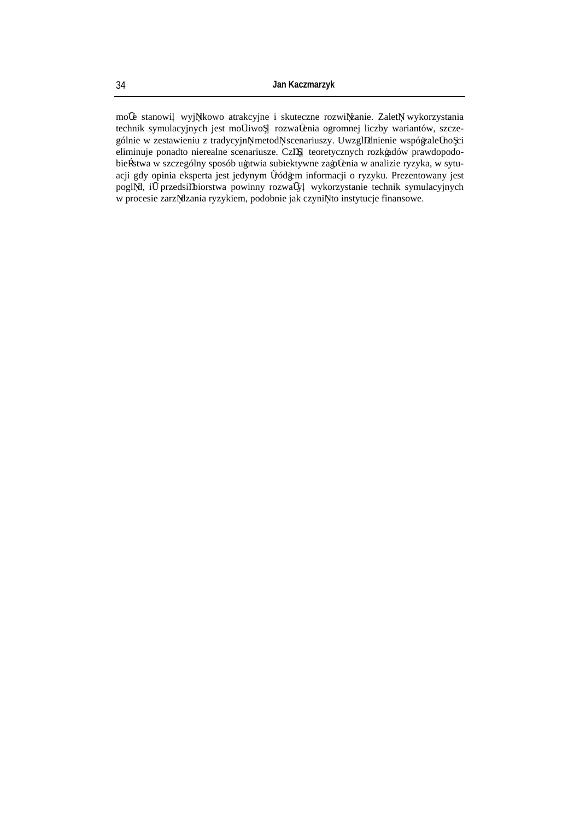mo e stanowi wyj tkowo atrakcyjne i skuteczne rozwi zanie. Zalet wykorzystania technik symulacyjnych jest mo liwo rozwa enia ogromnej liczby wariantów, szczególnie w zestawieniu z tradycyjn metod scenariuszy. Uwzgl dnienie współzale no ci eliminuje ponadto nierealne scenariusze. Cz teoretycznych rozkładów prawdopodobie stwa w szczególny sposób ułatwia subiektywne zało enia w analizie ryzyka, w sytuacji gdy opinia eksperta jest jedynym ródłem informacji o ryzyku. Prezentowany jest pogl d, i przedsi biorstwa powinny rozwa y wykorzystanie technik symulacyjnych w procesie zarz dzania ryzykiem, podobnie jak czyni to instytucje finansowe.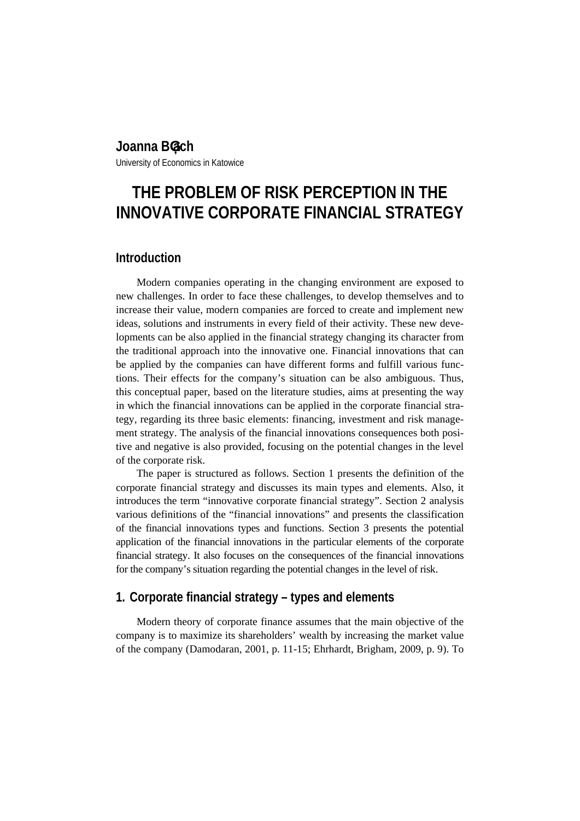# **Joanna Błach**

University of Economics in Katowice

# **THE PROBLEM OF RISK PERCEPTION IN THE INNOVATIVE CORPORATE FINANCIAL STRATEGY**

## **Introduction**

Modern companies operating in the changing environment are exposed to new challenges. In order to face these challenges, to develop themselves and to increase their value, modern companies are forced to create and implement new ideas, solutions and instruments in every field of their activity. These new developments can be also applied in the financial strategy changing its character from the traditional approach into the innovative one. Financial innovations that can be applied by the companies can have different forms and fulfill various functions. Their effects for the company's situation can be also ambiguous. Thus, this conceptual paper, based on the literature studies, aims at presenting the way in which the financial innovations can be applied in the corporate financial strategy, regarding its three basic elements: financing, investment and risk management strategy. The analysis of the financial innovations consequences both positive and negative is also provided, focusing on the potential changes in the level of the corporate risk.

The paper is structured as follows. Section 1 presents the definition of the corporate financial strategy and discusses its main types and elements. Also, it introduces the term "innovative corporate financial strategy". Section 2 analysis various definitions of the "financial innovations" and presents the classification of the financial innovations types and functions. Section 3 presents the potential application of the financial innovations in the particular elements of the corporate financial strategy. It also focuses on the consequences of the financial innovations for the company's situation regarding the potential changes in the level of risk.

## **1. Corporate financial strategy – types and elements**

Modern theory of corporate finance assumes that the main objective of the company is to maximize its shareholders' wealth by increasing the market value of the company (Damodaran, 2001, p. 11-15; Ehrhardt, Brigham, 2009, p. 9). To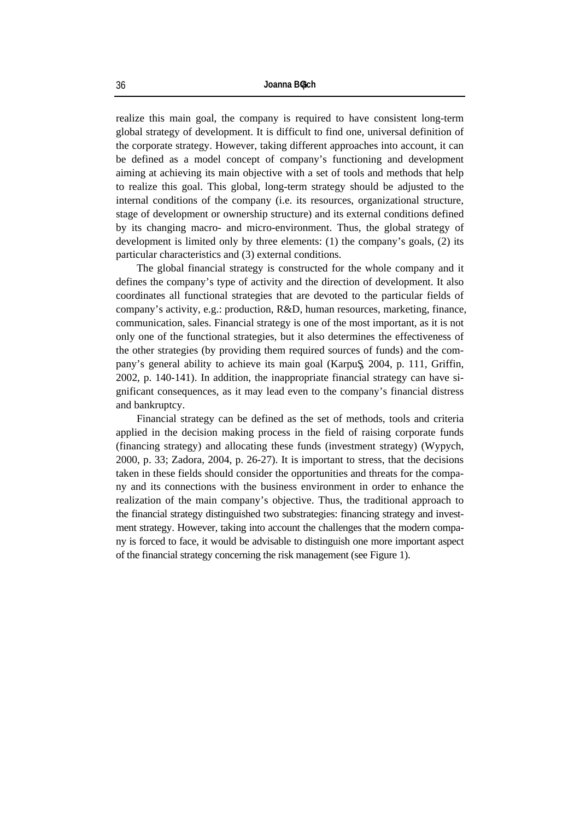realize this main goal, the company is required to have consistent long-term global strategy of development. It is difficult to find one, universal definition of the corporate strategy. However, taking different approaches into account, it can be defined as a model concept of company's functioning and development aiming at achieving its main objective with a set of tools and methods that help to realize this goal. This global, long-term strategy should be adjusted to the internal conditions of the company (i.e. its resources, organizational structure, stage of development or ownership structure) and its external conditions defined by its changing macro- and micro-environment. Thus, the global strategy of development is limited only by three elements: (1) the company's goals, (2) its particular characteristics and (3) external conditions.

The global financial strategy is constructed for the whole company and it defines the company's type of activity and the direction of development. It also coordinates all functional strategies that are devoted to the particular fields of company's activity, e.g.: production, R&D, human resources, marketing, finance, communication, sales. Financial strategy is one of the most important, as it is not only one of the functional strategies, but it also determines the effectiveness of the other strategies (by providing them required sources of funds) and the company's general ability to achieve its main goal (Karpu , 2004, p. 111, Griffin, 2002, p. 140-141). In addition, the inappropriate financial strategy can have significant consequences, as it may lead even to the company's financial distress and bankruptcy.

Financial strategy can be defined as the set of methods, tools and criteria applied in the decision making process in the field of raising corporate funds (financing strategy) and allocating these funds (investment strategy) (Wypych, 2000, p. 33; Zadora, 2004, p. 26-27). It is important to stress, that the decisions taken in these fields should consider the opportunities and threats for the company and its connections with the business environment in order to enhance the realization of the main company's objective. Thus, the traditional approach to the financial strategy distinguished two substrategies: financing strategy and investment strategy. However, taking into account the challenges that the modern company is forced to face, it would be advisable to distinguish one more important aspect of the financial strategy concerning the risk management (see Figure 1).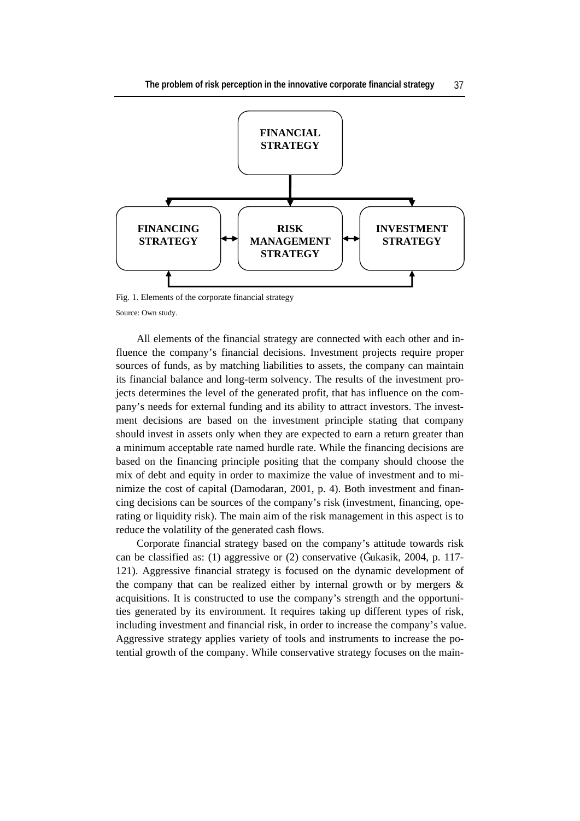

Fig. 1. Elements of the corporate financial strategy Source: Own study.

All elements of the financial strategy are connected with each other and influence the company's financial decisions. Investment projects require proper sources of funds, as by matching liabilities to assets, the company can maintain its financial balance and long-term solvency. The results of the investment projects determines the level of the generated profit, that has influence on the company's needs for external funding and its ability to attract investors. The investment decisions are based on the investment principle stating that company should invest in assets only when they are expected to earn a return greater than a minimum acceptable rate named hurdle rate. While the financing decisions are based on the financing principle positing that the company should choose the mix of debt and equity in order to maximize the value of investment and to minimize the cost of capital (Damodaran, 2001, p. 4). Both investment and financing decisions can be sources of the company's risk (investment, financing, operating or liquidity risk). The main aim of the risk management in this aspect is to reduce the volatility of the generated cash flows.

Corporate financial strategy based on the company's attitude towards risk can be classified as: (1) aggressive or (2) conservative (Łukasik, 2004, p. 117- 121). Aggressive financial strategy is focused on the dynamic development of the company that can be realized either by internal growth or by mergers  $\&$ acquisitions. It is constructed to use the company's strength and the opportunities generated by its environment. It requires taking up different types of risk, including investment and financial risk, in order to increase the company's value. Aggressive strategy applies variety of tools and instruments to increase the potential growth of the company. While conservative strategy focuses on the main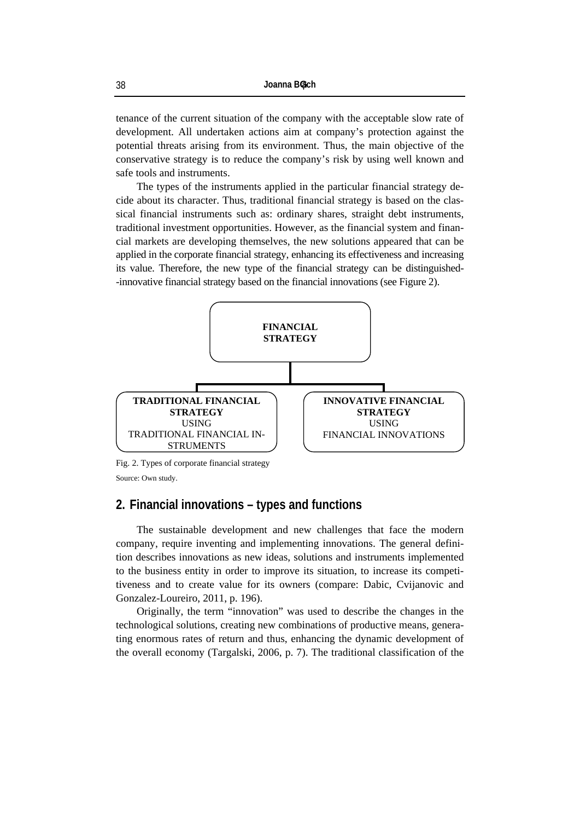tenance of the current situation of the company with the acceptable slow rate of development. All undertaken actions aim at company's protection against the potential threats arising from its environment. Thus, the main objective of the conservative strategy is to reduce the company's risk by using well known and safe tools and instruments.

The types of the instruments applied in the particular financial strategy decide about its character. Thus, traditional financial strategy is based on the classical financial instruments such as: ordinary shares, straight debt instruments, traditional investment opportunities. However, as the financial system and financial markets are developing themselves, the new solutions appeared that can be applied in the corporate financial strategy, enhancing its effectiveness and increasing its value. Therefore, the new type of the financial strategy can be distinguished- -innovative financial strategy based on the financial innovations (see Figure 2).



Fig. 2. Types of corporate financial strategy

Source: Own study.

### **2. Financial innovations – types and functions**

The sustainable development and new challenges that face the modern company, require inventing and implementing innovations. The general definition describes innovations as new ideas, solutions and instruments implemented to the business entity in order to improve its situation, to increase its competitiveness and to create value for its owners (compare: Dabic, Cvijanovic and Gonzalez-Loureiro, 2011, p. 196).

Originally, the term "innovation" was used to describe the changes in the technological solutions, creating new combinations of productive means, generating enormous rates of return and thus, enhancing the dynamic development of the overall economy (Targalski, 2006, p. 7). The traditional classification of the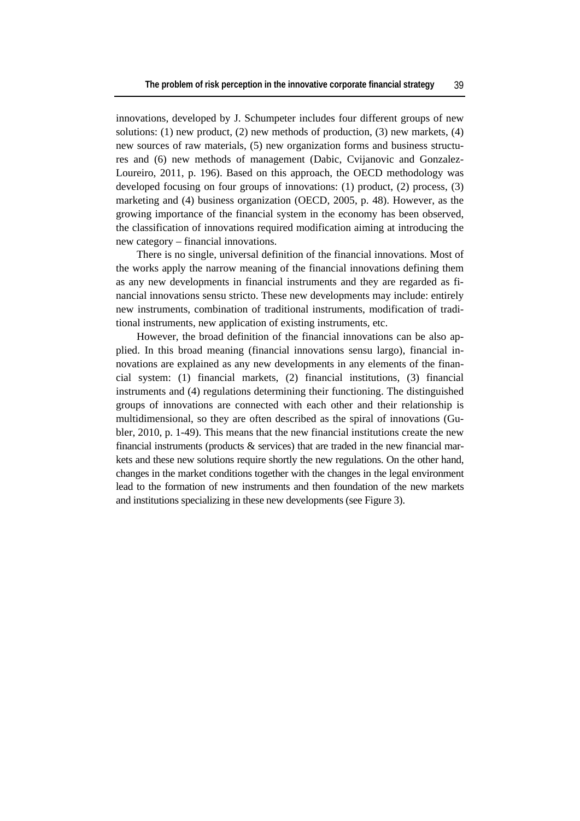innovations, developed by J. Schumpeter includes four different groups of new solutions: (1) new product, (2) new methods of production, (3) new markets,  $(4)$ new sources of raw materials, (5) new organization forms and business structures and (6) new methods of management (Dabic, Cvijanovic and Gonzalez-Loureiro, 2011, p. 196). Based on this approach, the OECD methodology was developed focusing on four groups of innovations: (1) product, (2) process, (3) marketing and (4) business organization (OECD, 2005, p. 48). However, as the growing importance of the financial system in the economy has been observed, the classification of innovations required modification aiming at introducing the new category – financial innovations.

There is no single, universal definition of the financial innovations. Most of the works apply the narrow meaning of the financial innovations defining them as any new developments in financial instruments and they are regarded as financial innovations sensu stricto. These new developments may include: entirely new instruments, combination of traditional instruments, modification of traditional instruments, new application of existing instruments, etc.

However, the broad definition of the financial innovations can be also applied. In this broad meaning (financial innovations sensu largo), financial innovations are explained as any new developments in any elements of the financial system: (1) financial markets, (2) financial institutions, (3) financial instruments and (4) regulations determining their functioning. The distinguished groups of innovations are connected with each other and their relationship is multidimensional, so they are often described as the spiral of innovations (Gubler, 2010, p. 1-49). This means that the new financial institutions create the new financial instruments (products  $\&$  services) that are traded in the new financial markets and these new solutions require shortly the new regulations. On the other hand, changes in the market conditions together with the changes in the legal environment lead to the formation of new instruments and then foundation of the new markets and institutions specializing in these new developments (see Figure 3).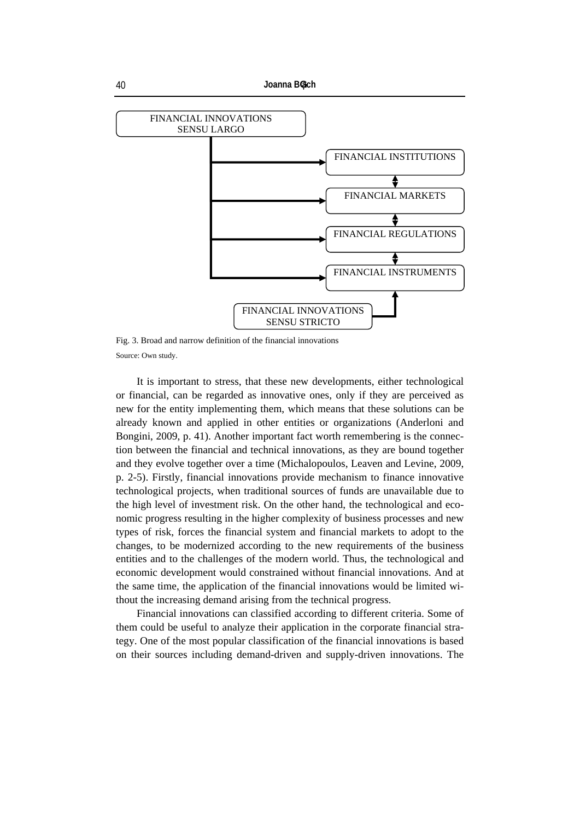```
40 Joanna Błach
```


Fig. 3. Broad and narrow definition of the financial innovations Source: Own study.

It is important to stress, that these new developments, either technological or financial, can be regarded as innovative ones, only if they are perceived as new for the entity implementing them, which means that these solutions can be already known and applied in other entities or organizations (Anderloni and Bongini, 2009, p. 41). Another important fact worth remembering is the connection between the financial and technical innovations, as they are bound together and they evolve together over a time (Michalopoulos, Leaven and Levine, 2009, p. 2-5). Firstly, financial innovations provide mechanism to finance innovative technological projects, when traditional sources of funds are unavailable due to the high level of investment risk. On the other hand, the technological and economic progress resulting in the higher complexity of business processes and new types of risk, forces the financial system and financial markets to adopt to the changes, to be modernized according to the new requirements of the business entities and to the challenges of the modern world. Thus, the technological and economic development would constrained without financial innovations. And at the same time, the application of the financial innovations would be limited without the increasing demand arising from the technical progress.

Financial innovations can classified according to different criteria. Some of them could be useful to analyze their application in the corporate financial strategy. One of the most popular classification of the financial innovations is based on their sources including demand-driven and supply-driven innovations. The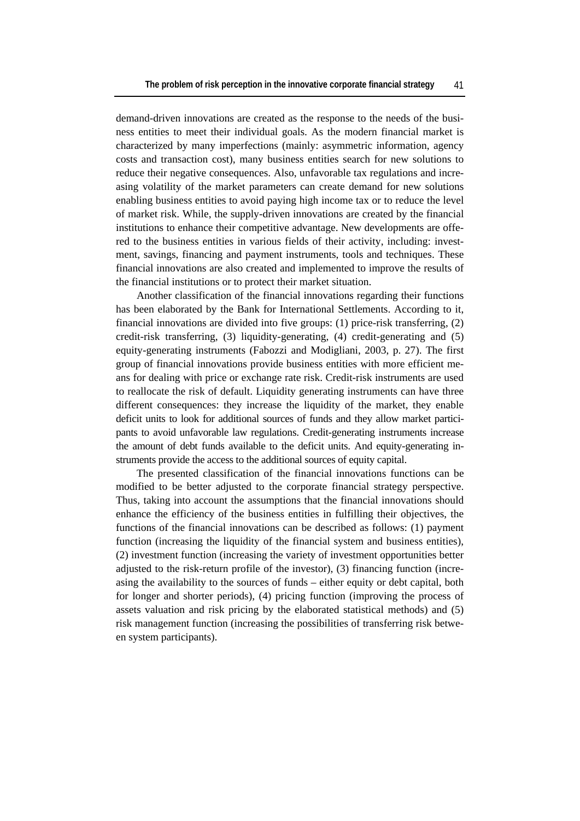demand-driven innovations are created as the response to the needs of the business entities to meet their individual goals. As the modern financial market is characterized by many imperfections (mainly: asymmetric information, agency costs and transaction cost), many business entities search for new solutions to reduce their negative consequences. Also, unfavorable tax regulations and increasing volatility of the market parameters can create demand for new solutions enabling business entities to avoid paying high income tax or to reduce the level of market risk. While, the supply-driven innovations are created by the financial institutions to enhance their competitive advantage. New developments are offered to the business entities in various fields of their activity, including: investment, savings, financing and payment instruments, tools and techniques. These financial innovations are also created and implemented to improve the results of the financial institutions or to protect their market situation.

Another classification of the financial innovations regarding their functions has been elaborated by the Bank for International Settlements. According to it, financial innovations are divided into five groups: (1) price-risk transferring, (2) credit-risk transferring, (3) liquidity-generating, (4) credit-generating and (5) equity-generating instruments (Fabozzi and Modigliani, 2003, p. 27). The first group of financial innovations provide business entities with more efficient means for dealing with price or exchange rate risk. Credit-risk instruments are used to reallocate the risk of default. Liquidity generating instruments can have three different consequences: they increase the liquidity of the market, they enable deficit units to look for additional sources of funds and they allow market participants to avoid unfavorable law regulations. Credit-generating instruments increase the amount of debt funds available to the deficit units. And equity-generating instruments provide the access to the additional sources of equity capital.

The presented classification of the financial innovations functions can be modified to be better adjusted to the corporate financial strategy perspective. Thus, taking into account the assumptions that the financial innovations should enhance the efficiency of the business entities in fulfilling their objectives, the functions of the financial innovations can be described as follows: (1) payment function (increasing the liquidity of the financial system and business entities), (2) investment function (increasing the variety of investment opportunities better adjusted to the risk-return profile of the investor), (3) financing function (increasing the availability to the sources of funds – either equity or debt capital, both for longer and shorter periods), (4) pricing function (improving the process of assets valuation and risk pricing by the elaborated statistical methods) and (5) risk management function (increasing the possibilities of transferring risk between system participants).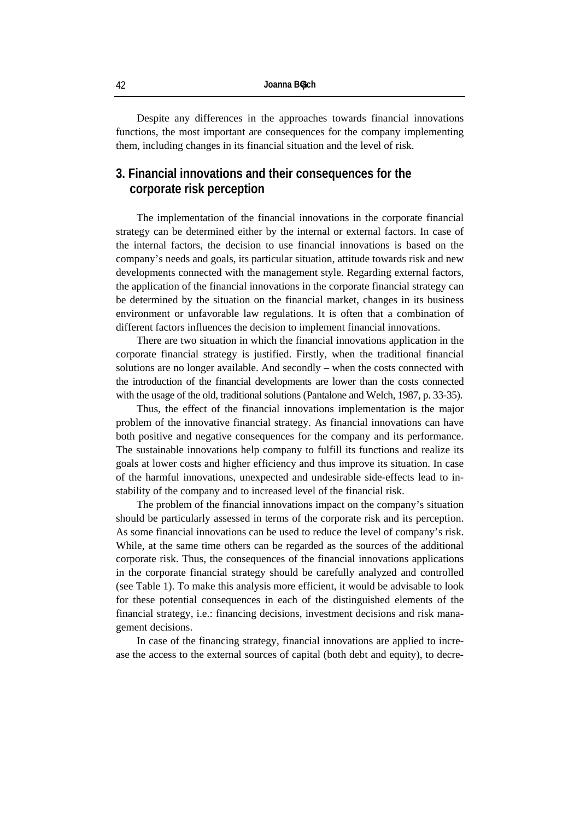Despite any differences in the approaches towards financial innovations functions, the most important are consequences for the company implementing them, including changes in its financial situation and the level of risk.

# **3. Financial innovations and their consequences for the corporate risk perception**

The implementation of the financial innovations in the corporate financial strategy can be determined either by the internal or external factors. In case of the internal factors, the decision to use financial innovations is based on the company's needs and goals, its particular situation, attitude towards risk and new developments connected with the management style. Regarding external factors, the application of the financial innovations in the corporate financial strategy can be determined by the situation on the financial market, changes in its business environment or unfavorable law regulations. It is often that a combination of different factors influences the decision to implement financial innovations.

There are two situation in which the financial innovations application in the corporate financial strategy is justified. Firstly, when the traditional financial solutions are no longer available. And secondly – when the costs connected with the introduction of the financial developments are lower than the costs connected with the usage of the old, traditional solutions (Pantalone and Welch, 1987, p. 33-35).

Thus, the effect of the financial innovations implementation is the major problem of the innovative financial strategy. As financial innovations can have both positive and negative consequences for the company and its performance. The sustainable innovations help company to fulfill its functions and realize its goals at lower costs and higher efficiency and thus improve its situation. In case of the harmful innovations, unexpected and undesirable side-effects lead to instability of the company and to increased level of the financial risk.

The problem of the financial innovations impact on the company's situation should be particularly assessed in terms of the corporate risk and its perception. As some financial innovations can be used to reduce the level of company's risk. While, at the same time others can be regarded as the sources of the additional corporate risk. Thus, the consequences of the financial innovations applications in the corporate financial strategy should be carefully analyzed and controlled (see Table 1). To make this analysis more efficient, it would be advisable to look for these potential consequences in each of the distinguished elements of the financial strategy, i.e.: financing decisions, investment decisions and risk management decisions.

In case of the financing strategy, financial innovations are applied to increase the access to the external sources of capital (both debt and equity), to decre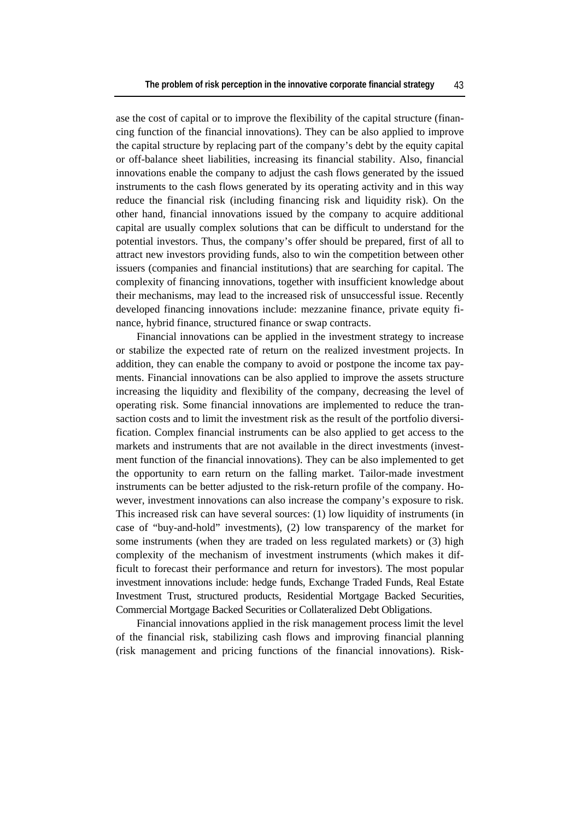ase the cost of capital or to improve the flexibility of the capital structure (financing function of the financial innovations). They can be also applied to improve the capital structure by replacing part of the company's debt by the equity capital or off-balance sheet liabilities, increasing its financial stability. Also, financial innovations enable the company to adjust the cash flows generated by the issued instruments to the cash flows generated by its operating activity and in this way reduce the financial risk (including financing risk and liquidity risk). On the other hand, financial innovations issued by the company to acquire additional capital are usually complex solutions that can be difficult to understand for the potential investors. Thus, the company's offer should be prepared, first of all to attract new investors providing funds, also to win the competition between other issuers (companies and financial institutions) that are searching for capital. The complexity of financing innovations, together with insufficient knowledge about their mechanisms, may lead to the increased risk of unsuccessful issue. Recently developed financing innovations include: mezzanine finance, private equity finance, hybrid finance, structured finance or swap contracts.

Financial innovations can be applied in the investment strategy to increase or stabilize the expected rate of return on the realized investment projects. In addition, they can enable the company to avoid or postpone the income tax payments. Financial innovations can be also applied to improve the assets structure increasing the liquidity and flexibility of the company, decreasing the level of operating risk. Some financial innovations are implemented to reduce the transaction costs and to limit the investment risk as the result of the portfolio diversification. Complex financial instruments can be also applied to get access to the markets and instruments that are not available in the direct investments (investment function of the financial innovations). They can be also implemented to get the opportunity to earn return on the falling market. Tailor-made investment instruments can be better adjusted to the risk-return profile of the company. However, investment innovations can also increase the company's exposure to risk. This increased risk can have several sources: (1) low liquidity of instruments (in case of "buy-and-hold" investments), (2) low transparency of the market for some instruments (when they are traded on less regulated markets) or (3) high complexity of the mechanism of investment instruments (which makes it difficult to forecast their performance and return for investors). The most popular investment innovations include: hedge funds, Exchange Traded Funds, Real Estate Investment Trust, structured products, Residential Mortgage Backed Securities, Commercial Mortgage Backed Securities or Collateralized Debt Obligations.

Financial innovations applied in the risk management process limit the level of the financial risk, stabilizing cash flows and improving financial planning (risk management and pricing functions of the financial innovations). Risk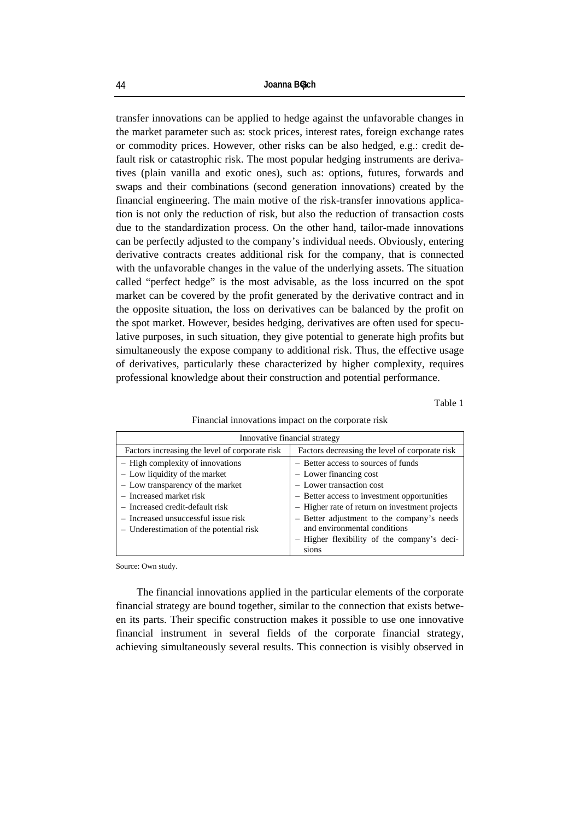transfer innovations can be applied to hedge against the unfavorable changes in the market parameter such as: stock prices, interest rates, foreign exchange rates or commodity prices. However, other risks can be also hedged, e.g.: credit default risk or catastrophic risk. The most popular hedging instruments are derivatives (plain vanilla and exotic ones), such as: options, futures, forwards and swaps and their combinations (second generation innovations) created by the financial engineering. The main motive of the risk-transfer innovations application is not only the reduction of risk, but also the reduction of transaction costs due to the standardization process. On the other hand, tailor-made innovations can be perfectly adjusted to the company's individual needs. Obviously, entering derivative contracts creates additional risk for the company, that is connected with the unfavorable changes in the value of the underlying assets. The situation called "perfect hedge" is the most advisable, as the loss incurred on the spot market can be covered by the profit generated by the derivative contract and in the opposite situation, the loss on derivatives can be balanced by the profit on the spot market. However, besides hedging, derivatives are often used for speculative purposes, in such situation, they give potential to generate high profits but simultaneously the expose company to additional risk. Thus, the effective usage of derivatives, particularly these characterized by higher complexity, requires professional knowledge about their construction and potential performance.

Table 1

#### Financial innovations impact on the corporate risk

| Innovative financial strategy                  |                                                |  |  |
|------------------------------------------------|------------------------------------------------|--|--|
| Factors increasing the level of corporate risk | Factors decreasing the level of corporate risk |  |  |
| - High complexity of innovations               | - Better access to sources of funds            |  |  |
| - Low liquidity of the market                  | - Lower financing cost                         |  |  |
| - Low transparency of the market               | - Lower transaction cost                       |  |  |
| - Increased market risk                        | - Better access to investment opportunities    |  |  |
| - Increased credit-default risk                | - Higher rate of return on investment projects |  |  |
| - Increased unsuccessful issue risk            | - Better adjustment to the company's needs     |  |  |
| - Underestimation of the potential risk        | and environmental conditions                   |  |  |
|                                                | - Higher flexibility of the company's deci-    |  |  |
|                                                |                                                |  |  |

Source: Own study.

The financial innovations applied in the particular elements of the corporate financial strategy are bound together, similar to the connection that exists between its parts. Their specific construction makes it possible to use one innovative financial instrument in several fields of the corporate financial strategy, achieving simultaneously several results. This connection is visibly observed in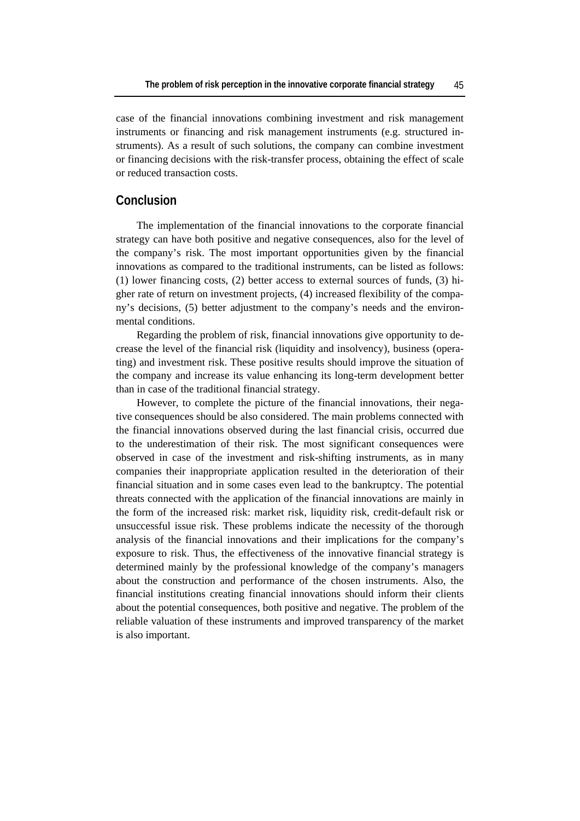case of the financial innovations combining investment and risk management instruments or financing and risk management instruments (e.g. structured instruments). As a result of such solutions, the company can combine investment or financing decisions with the risk-transfer process, obtaining the effect of scale or reduced transaction costs.

## **Conclusion**

The implementation of the financial innovations to the corporate financial strategy can have both positive and negative consequences, also for the level of the company's risk. The most important opportunities given by the financial innovations as compared to the traditional instruments, can be listed as follows: (1) lower financing costs, (2) better access to external sources of funds, (3) higher rate of return on investment projects, (4) increased flexibility of the company's decisions, (5) better adjustment to the company's needs and the environmental conditions.

Regarding the problem of risk, financial innovations give opportunity to decrease the level of the financial risk (liquidity and insolvency), business (operating) and investment risk. These positive results should improve the situation of the company and increase its value enhancing its long-term development better than in case of the traditional financial strategy.

However, to complete the picture of the financial innovations, their negative consequences should be also considered. The main problems connected with the financial innovations observed during the last financial crisis, occurred due to the underestimation of their risk. The most significant consequences were observed in case of the investment and risk-shifting instruments, as in many companies their inappropriate application resulted in the deterioration of their financial situation and in some cases even lead to the bankruptcy. The potential threats connected with the application of the financial innovations are mainly in the form of the increased risk: market risk, liquidity risk, credit-default risk or unsuccessful issue risk. These problems indicate the necessity of the thorough analysis of the financial innovations and their implications for the company's exposure to risk. Thus, the effectiveness of the innovative financial strategy is determined mainly by the professional knowledge of the company's managers about the construction and performance of the chosen instruments. Also, the financial institutions creating financial innovations should inform their clients about the potential consequences, both positive and negative. The problem of the reliable valuation of these instruments and improved transparency of the market is also important.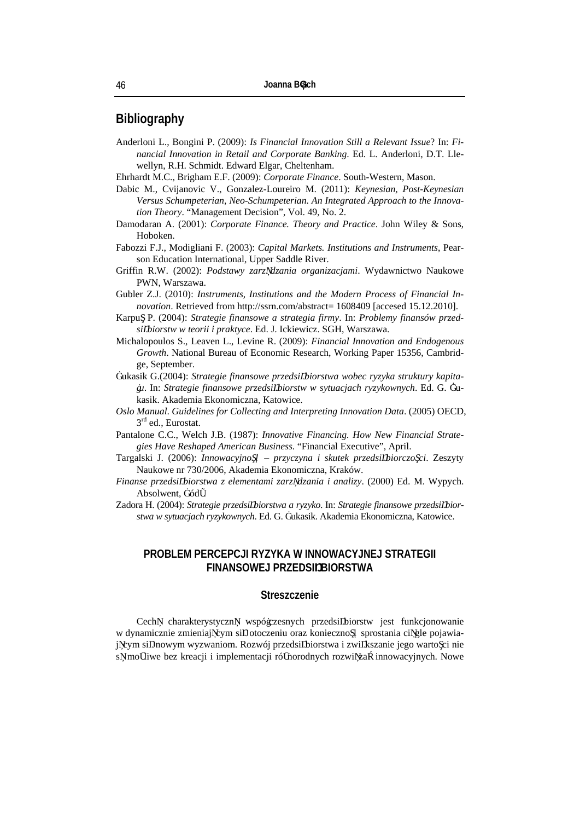## **Bibliography**

- Anderloni L., Bongini P. (2009): *Is Financial Innovation Still a Relevant Issue*? In: *Financial Innovation in Retail and Corporate Banking*. Ed. L. Anderloni, D.T. Llewellyn, R.H. Schmidt. Edward Elgar, Cheltenham.
- Ehrhardt M.C., Brigham E.F. (2009): *Corporate Finance*. South-Western, Mason.
- Dabic M., Cvijanovic V., Gonzalez-Loureiro M. (2011): *Keynesian, Post-Keynesian Versus Schumpeterian, Neo-Schumpeterian. An Integrated Approach to the Innovation Theory*. "Management Decision", Vol. 49, No. 2.
- Damodaran A. (2001): *Corporate Finance. Theory and Practice*. John Wiley & Sons, Hoboken.
- Fabozzi F.J., Modigliani F. (2003): *Capital Markets. Institutions and Instruments*, Pearson Education International, Upper Saddle River.
- Griffin R.W. (2002): *Podstawy zarz dzania organizacjami*. Wydawnictwo Naukowe PWN, Warszawa.
- Gubler Z.J. (2010): *Instruments, Institutions and the Modern Process of Financial Innovation*. Retrieved from http://ssrn.com/abstract= 1608409 [accesed 15.12.2010].
- Karpu P. (2004): *Strategie finansowe a strategia firmy*. In: *Problemy finansów przedsi biorstw w teorii i praktyce*. Ed. J. Ickiewicz. SGH, Warszawa.
- Michalopoulos S., Leaven L., Levine R. (2009): *Financial Innovation and Endogenous Growth*. National Bureau of Economic Research, Working Paper 15356, Cambridge, September.
- Łukasik G.(2004): *Strategie finansowe przedsi biorstwa wobec ryzyka struktury kapitału*. In: *Strategie finansowe przedsi biorstw w sytuacjach ryzykownych*. Ed. G. Łukasik. Akademia Ekonomiczna, Katowice.
- *Oslo Manual*. *Guidelines for Collecting and Interpreting Innovation Data*. (2005) OECD, 3<sup>rd</sup> ed., Eurostat.
- Pantalone C.C., Welch J.B. (1987): *Innovative Financing. How New Financial Strategies Have Reshaped American Business.* "Financial Executive", April.
- Targalski J. (2006): *Innowacyjność przyczyna i skutek przedsi biorczo ci*. Zeszyty Naukowe nr 730/2006, Akademia Ekonomiczna, Kraków.
- *Finanse przedsi biorstwa z elementami zarz dzania i analizy*. (2000) Ed. M. Wypych. Absolwent, Łód .
- Zadora H. (2004): *Strategie przedsi biorstwa a ryzyko*. In: *Strategie finansowe przedsi biorstwa w sytuacjach ryzykownych*. Ed. G. Łukasik. Akademia Ekonomiczna, Katowice.

#### **PROBLEM PERCEPCJI RYZYKA W INNOWACYJNEJ STRATEGII FINANSOWEJ PRZEDSI BIORSTWA**

#### **Streszczenie**

Cech charakterystyczn współczesnych przedsi biorstw jest funkcjonowanie w dynamicznie zmieniaj cym si otoczeniu oraz konieczno sprostania ci gle pojawiaj cym si nowym wyzwaniom. Rozwój przedsi biorstwa i zwi kszanie jego warto ci nie s mo liwe bez kreacji i implementacji ró norodnych rozwi za innowacyjnych. Nowe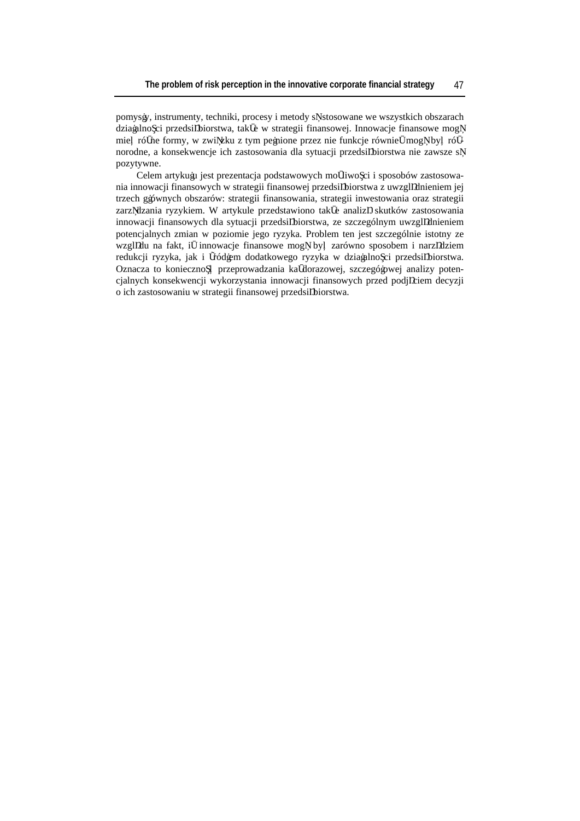pomysły, instrumenty, techniki, procesy i metody s stosowane we wszystkich obszarach działalno ci przedsi biorstwa, tak e w strategii finansowej. Innowacje finansowe mog mie ró ne formy, w zwi zku z tym pełnione przez nie funkcje równie mog by ró norodne, a konsekwencje ich zastosowania dla sytuacji przedsi biorstwa nie zawsze s pozytywne.

Celem artykułu jest prezentacja podstawowych mo liwo ci i sposobów zastosowania innowacji finansowych w strategii finansowej przedsi biorstwa z uwzgl dnieniem jej trzech głównych obszarów: strategii finansowania, strategii inwestowania oraz strategii zarz dzania ryzykiem. W artykule przedstawiono tak e analiz skutków zastosowania innowacji finansowych dla sytuacji przedsi biorstwa, ze szczególnym uwzgl dnieniem potencjalnych zmian w poziomie jego ryzyka. Problem ten jest szczególnie istotny ze wzgl du na fakt, i innowacje finansowe mog by zarówno sposobem i narz dziem redukcji ryzyka, jak i ródłem dodatkowego ryzyka w działalno ci przedsi biorstwa. Oznacza to konieczno przeprowadzania ka dorazowej, szczegółowej analizy potencjalnych konsekwencji wykorzystania innowacji finansowych przed podj ciem decyzji o ich zastosowaniu w strategii finansowej przedsi biorstwa.